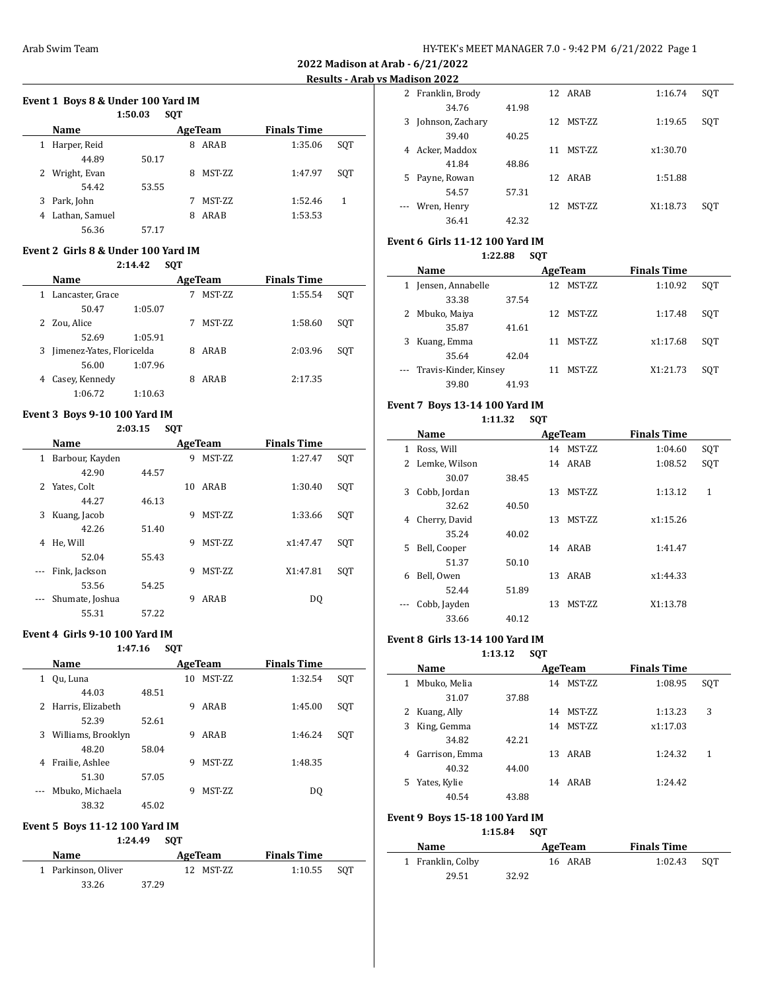**2022 Madison at Arab - 6/21/2022 Results - Arab vs Madison 2022**

 $\overline{\phantom{a}}$ 

 $\overline{a}$ 

 $\overline{\phantom{0}}$ 

# **Event 1 Boys 8 & Under 100 Yard IM**

|   |                | 1:50.03 | <b>SOT</b> |                 |                    |     |
|---|----------------|---------|------------|-----------------|--------------------|-----|
|   | Name           |         |            | AgeTeam         | <b>Finals Time</b> |     |
| 1 | Harper, Reid   |         | 8          | ARAB            | 1:35.06            | SOT |
|   | 44.89          | 50.17   |            |                 |                    |     |
| 2 | Wright, Evan   |         | 8          | <b>MST-ZZ</b>   | 1:47.97            | SOT |
|   | 54.42          | 53.55   |            |                 |                    |     |
| 3 | Park, John     |         |            | <b>MST-7.7.</b> | 1:52.46            | 1   |
| 4 | Lathan, Samuel |         | 8          | ARAB            | 1:53.53            |     |
|   | 56.36          | 57.17   |            |                 |                    |     |

#### **Event 2 Girls 8 & Under 100 Yard IM 2:14.42 SQT**

|   |                           | 4:14.44 | <b>SVI</b> |               |                    |     |
|---|---------------------------|---------|------------|---------------|--------------------|-----|
|   | Name                      |         |            | AgeTeam       | <b>Finals Time</b> |     |
| 1 | Lancaster, Grace          |         |            | <b>MST-ZZ</b> | 1:55.54            | SOT |
|   | 50.47                     | 1:05.07 |            |               |                    |     |
|   | 2 Zou, Alice              |         |            | MST-ZZ        | 1:58.60            | SOT |
|   | 52.69                     | 1:05.91 |            |               |                    |     |
| 3 | Jimenez-Yates, Floricelda |         | 8          | ARAB          | 2:03.96            | SOT |
|   | 56.00                     | 1:07.96 |            |               |                    |     |
| 4 | Casey, Kennedy            |         | 8          | ARAB          | 2:17.35            |     |
|   | 1:06.72                   | 1:10.63 |            |               |                    |     |

## **Event 3 Boys 9-10 100 Yard IM**

## **2:03.15 SQT**

|   | Name            |       |    | AgeTeam       | <b>Finals Time</b> |     |
|---|-----------------|-------|----|---------------|--------------------|-----|
| 1 | Barbour, Kayden |       | 9  | <b>MST-ZZ</b> | 1:27.47            | SQT |
|   | 42.90           | 44.57 |    |               |                    |     |
| 2 | Yates, Colt     |       | 10 | ARAB          | 1:30.40            | SQT |
|   | 44.27           | 46.13 |    |               |                    |     |
| 3 | Kuang, Jacob    |       | 9  | <b>MST-ZZ</b> | 1:33.66            | SQT |
|   | 42.26           | 51.40 |    |               |                    |     |
| 4 | He, Will        |       | 9  | <b>MST-ZZ</b> | x1:47.47           | SQT |
|   | 52.04           | 55.43 |    |               |                    |     |
|   | Fink, Jackson   |       | 9  | <b>MST-ZZ</b> | X1:47.81           | SOT |
|   | 53.56           | 54.25 |    |               |                    |     |
|   | Shumate, Joshua |       | 9  | ARAB          | DQ                 |     |
|   | 55.31           | 57.22 |    |               |                    |     |

## **Event 4 Girls 9-10 100 Yard IM**

**1:47.16 SQT**

| <b>Name</b> |                     |       |    | AgeTeam         | <b>Finals Time</b> |     |  |
|-------------|---------------------|-------|----|-----------------|--------------------|-----|--|
| 1           | Qu, Luna            |       | 10 | <b>MST-7.7.</b> | 1:32.54            | SOT |  |
|             | 44.03               | 48.51 |    |                 |                    |     |  |
|             | 2 Harris, Elizabeth |       | 9  | ARAB            | 1:45.00            | SQT |  |
|             | 52.39               | 52.61 |    |                 |                    |     |  |
| 3           | Williams, Brooklyn  |       | 9  | ARAB            | 1:46.24            | SOT |  |
|             | 48.20               | 58.04 |    |                 |                    |     |  |
| 4           | Frailie, Ashlee     |       | 9  | <b>MST-ZZ</b>   | 1:48.35            |     |  |
|             | 51.30               | 57.05 |    |                 |                    |     |  |
| $\cdots$    | Mbuko, Michaela     |       | 9  | MST-ZZ          | DO.                |     |  |
|             | 38.32               | 45.02 |    |                 |                    |     |  |

# **Event 5 Boys 11-12 100 Yard IM**

## **1:24.49 SQT**

| <b>Name</b>         |       | AgeTeam   | <b>Finals Time</b> |     |
|---------------------|-------|-----------|--------------------|-----|
| 1 Parkinson, Oliver |       | 12 MST-ZZ | 1:10.55            | SOT |
| 33.26               | 37.29 |           |                    |     |

|    | 14419011 2022    |       |              |          |     |
|----|------------------|-------|--------------|----------|-----|
| 2  | Franklin, Brody  |       | 12 ARAB      | 1:16.74  | SQT |
|    | 34.76            | 41.98 |              |          |     |
| 3  | Johnson, Zachary |       | MST-ZZ<br>12 | 1:19.65  | SQT |
|    | 39.40            | 40.25 |              |          |     |
| 4  | Acker, Maddox    |       | MST-ZZ<br>11 | x1:30.70 |     |
|    | 41.84            | 48.86 |              |          |     |
| 5. | Payne, Rowan     |       | 12 ARAB      | 1:51.88  |     |
|    | 54.57            | 57.31 |              |          |     |
|    | Wren, Henry      |       | 12 MST-7.7   | X1:18.73 | SOT |
|    | 36.41            | 42.32 |              |          |     |

# **Event 6 Girls 11-12 100 Yard IM**

**1:22.88 SQT**

| Name                      |       |    | AgeTeam    | <b>Finals Time</b> |     |
|---------------------------|-------|----|------------|--------------------|-----|
| Jensen, Annabelle         |       |    | 12 MST-7.7 | 1:10.92            | SOT |
| 33.38                     | 37.54 |    |            |                    |     |
| Mbuko, Maiya              |       |    | 12 MST-7.7 | 1:17.48            | SOT |
| 35.87                     | 41.61 |    |            |                    |     |
| Kuang, Emma               |       | 11 | MST-ZZ     | x1:17.68           | SOT |
| 35.64                     | 42.04 |    |            |                    |     |
| --- Travis-Kinder, Kinsey |       | 11 | MST-ZZ     | X1:21.73           | SOT |
| 39.80                     | 41.93 |    |            |                    |     |

# **Event 7 Boys 13-14 100 Yard IM**

# **1:11.32 SQT**

|    | Name          |       |    | AgeTeam       | <b>Finals Time</b> |     |
|----|---------------|-------|----|---------------|--------------------|-----|
| 1  | Ross, Will    |       |    | 14 MST-7.7    | 1:04.60            | SQT |
| 2  | Lemke, Wilson |       |    | 14 ARAB       | 1:08.52            | SQT |
|    | 30.07         | 38.45 |    |               |                    |     |
| 3  | Cobb, Jordan  |       | 13 | <b>MST-ZZ</b> | 1:13.12            | 1   |
|    | 32.62         | 40.50 |    |               |                    |     |
| 4  | Cherry, David |       | 13 | <b>MST-ZZ</b> | x1:15.26           |     |
|    | 35.24         | 40.02 |    |               |                    |     |
| 5. | Bell, Cooper  |       |    | 14 ARAB       | 1:41.47            |     |
|    | 51.37         | 50.10 |    |               |                    |     |
| 6  | Bell, Owen    |       | 13 | ARAB          | x1:44.33           |     |
|    | 52.44         | 51.89 |    |               |                    |     |
|    | Cobb, Jayden  |       | 13 | MST-ZZ        | X1:13.78           |     |
|    | 33.66         | 40.12 |    |               |                    |     |

# **Event 8 Girls 13-14 100 Yard IM**

**1:13.12 SQT**

|    | Name           |       | AgeTeam             | <b>Finals Time</b> |     |  |
|----|----------------|-------|---------------------|--------------------|-----|--|
| 1  | Mbuko, Melia   |       | MST-ZZ<br>14        | 1:08.95            | SOT |  |
|    | 31.07          | 37.88 |                     |                    |     |  |
|    | Kuang, Ally    |       | MST-ZZ<br>14        | 1:13.23            | 3   |  |
|    | King, Gemma    |       | <b>MST-ZZ</b><br>14 | x1:17.03           |     |  |
|    | 34.82          | 42.21 |                     |                    |     |  |
| 4  | Garrison, Emma |       | ARAB<br>13          | 1:24.32            | 1   |  |
|    | 40.32          | 44.00 |                     |                    |     |  |
| 5. | Yates, Kylie   |       | ARAB<br>14          | 1:24.42            |     |  |
|    | 40.54          | 43.88 |                     |                    |     |  |

## **Event 9 Boys 15-18 100 Yard IM**

## **1:15.84 SQT**

| Name              |       | AgeTeam | <b>Finals Time</b> |     |
|-------------------|-------|---------|--------------------|-----|
| 1 Franklin, Colby |       | 16 ARAB | 1:02.43            | SOT |
| 29.51             | 32.92 |         |                    |     |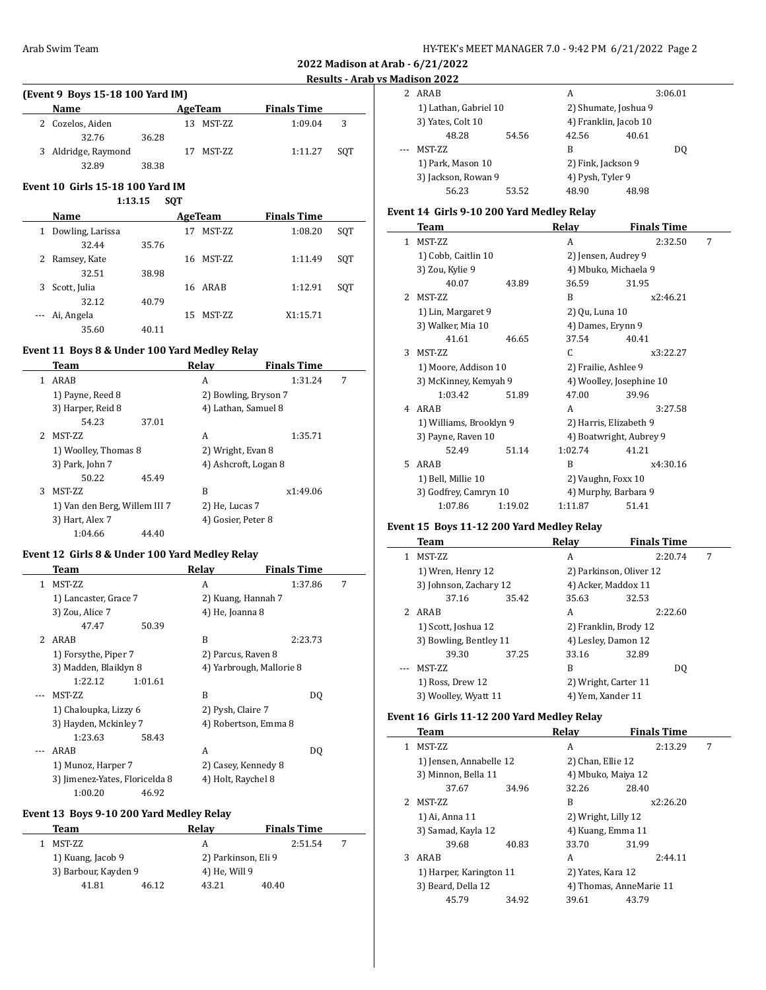# **Results - Arab vs Madison 2022**

 $\overline{\phantom{0}}$ 

 $\overline{\phantom{a}}$ 

| (Event 9 Boys 15-18 100 Yard IM) |                     |       |     |           |                    |     |  |  |  |
|----------------------------------|---------------------|-------|-----|-----------|--------------------|-----|--|--|--|
|                                  | Name                |       |     | AgeTeam   | <b>Finals Time</b> |     |  |  |  |
|                                  | 2 Cozelos, Aiden    |       |     | 13 MST-ZZ | 1:09.04            | 3   |  |  |  |
|                                  | 32.76               | 36.28 |     |           |                    |     |  |  |  |
|                                  | 3 Aldridge, Raymond |       | 17. | MST-ZZ    | 1:11.27            | SOT |  |  |  |
|                                  | 32.89               | 38.38 |     |           |                    |     |  |  |  |

# **Event 10 Girls 15-18 100 Yard IM**

## **1:13.15 SQT**

|   | Name             | AgeTeam |    |                 | <b>Finals Time</b> |     |
|---|------------------|---------|----|-----------------|--------------------|-----|
| 1 | Dowling, Larissa |         | 17 | <b>MST-7.7.</b> | 1:08.20            | SOT |
|   | 32.44            | 35.76   |    |                 |                    |     |
| 2 | Ramsey, Kate     |         | 16 | MST-ZZ          | 1:11.49            | SOT |
|   | 32.51            | 38.98   |    |                 |                    |     |
| 3 | Scott, Julia     |         |    | 16 ARAB         | 1:12.91            | SOT |
|   | 32.12            | 40.79   |    |                 |                    |     |
|   | --- Ai, Angela   |         | 15 | MST-ZZ          | X1:15.71           |     |
|   | 35.60            | 40.11   |    |                 |                    |     |

# **Event 11 Boys 8 & Under 100 Yard Medley Relay**

|    | Team                          |       | Relay              | <b>Finals Time</b>   |   |
|----|-------------------------------|-------|--------------------|----------------------|---|
| 1  | ARAB                          |       | A                  | 1:31.24              | 7 |
|    | 1) Payne, Reed 8              |       |                    | 2) Bowling, Bryson 7 |   |
|    | 3) Harper, Reid 8             |       |                    | 4) Lathan, Samuel 8  |   |
|    | 54.23                         | 37.01 |                    |                      |   |
| 2. | MST-ZZ                        |       | A                  | 1:35.71              |   |
|    | 1) Woolley, Thomas 8          |       | 2) Wright, Evan 8  |                      |   |
|    | 3) Park, John 7               |       |                    | 4) Ashcroft, Logan 8 |   |
|    | 50.22                         | 45.49 |                    |                      |   |
| 3  | MST-ZZ                        |       | B                  | x1:49.06             |   |
|    | 1) Van den Berg, Willem III 7 |       | 2) He, Lucas 7     |                      |   |
|    | 3) Hart, Alex 7               |       | 4) Gosier, Peter 8 |                      |   |
|    | 1:04.66                       | 44.40 |                    |                      |   |

## **Event 12 Girls 8 & Under 100 Yard Medley Relay**

|             | Team                           | Relay   |                          | <b>Finals Time</b> |   |
|-------------|--------------------------------|---------|--------------------------|--------------------|---|
| 1           | MST-ZZ                         |         | A                        | 1:37.86            | 7 |
|             | 1) Lancaster, Grace 7          |         | 2) Kuang, Hannah 7       |                    |   |
|             | 3) Zou, Alice 7                |         | 4) He, Joanna 8          |                    |   |
|             | 47.47                          | 50.39   |                          |                    |   |
| $2^{\circ}$ | ARAB                           |         | B                        | 2:23.73            |   |
|             | 1) Forsythe, Piper 7           |         | 2) Parcus, Raven 8       |                    |   |
|             | 3) Madden, Blaiklyn 8          |         | 4) Yarbrough, Mallorie 8 |                    |   |
|             | 1:22.12                        | 1:01.61 |                          |                    |   |
|             | MST-ZZ                         |         | B                        | DO.                |   |
|             | 1) Chaloupka, Lizzy 6          |         | 2) Pysh, Claire 7        |                    |   |
|             | 3) Hayden, Mckinley 7          |         | 4) Robertson, Emma 8     |                    |   |
|             | 1:23.63                        | 58.43   |                          |                    |   |
|             | ARAB                           |         | A                        | DO.                |   |
|             | 1) Munoz, Harper 7             |         | 2) Casey, Kennedy 8      |                    |   |
|             | 3) Jimenez-Yates, Floricelda 8 |         | 4) Holt, Raychel 8       |                    |   |
|             | 1:00.20                        | 46.92   |                          |                    |   |

# **Event 13 Boys 9-10 200 Yard Medley Relay**

| Team                 |       | Relav               | <b>Finals Time</b> |  |
|----------------------|-------|---------------------|--------------------|--|
| MST-ZZ               |       | А                   | 2:51.54            |  |
| 1) Kuang, Jacob 9    |       | 2) Parkinson, Eli 9 |                    |  |
| 3) Barbour, Kayden 9 |       | 4) He, Will 9       |                    |  |
| 41.81                | 46.12 | 43.21               | 40.40              |  |

|  | 4419011 2022                             |       |                       |         |
|--|------------------------------------------|-------|-----------------------|---------|
|  | ARAB                                     |       | А                     | 3:06.01 |
|  | 1) Lathan, Gabriel 10                    |       | 2) Shumate, Joshua 9  |         |
|  | 3) Yates, Colt 10                        |       | 4) Franklin, Jacob 10 |         |
|  | 48.28                                    | 54.56 | 42.56                 | 40.61   |
|  | <b>MST-ZZ</b>                            |       | В                     | DO.     |
|  | 1) Park, Mason 10<br>3) Jackson, Rowan 9 |       | 2) Fink, Jackson 9    |         |
|  |                                          |       | 4) Pysh, Tyler 9      |         |
|  | 56.23                                    | 53.52 | 48.90                 | 48.98   |

# **Event 14 Girls 9-10 200 Yard Medley Relay**

|               | Team                    |         | Relay                  | <b>Finals Time</b>       |   |
|---------------|-------------------------|---------|------------------------|--------------------------|---|
| 1             | MST-ZZ                  |         | A                      | 2:32.50                  | 7 |
|               | 1) Cobb, Caitlin 10     |         | 2) Jensen, Audrey 9    |                          |   |
|               | 3) Zou, Kylie 9         |         | 4) Mbuko, Michaela 9   |                          |   |
|               | 40.07                   | 43.89   | 36.59                  | 31.95                    |   |
| $\mathcal{L}$ | <b>MST-ZZ</b>           |         | B                      | x2:46.21                 |   |
|               | 1) Lin, Margaret 9      |         | 2) Qu, Luna 10         |                          |   |
|               | 3) Walker, Mia 10       |         | 4) Dames, Erynn 9      |                          |   |
|               | 41.61                   | 46.65   | 37.54                  | 40.41                    |   |
| 3             | <b>MST-ZZ</b>           |         | C                      | x3:22.27                 |   |
|               | 1) Moore, Addison 10    |         | 2) Frailie, Ashlee 9   |                          |   |
|               | 3) McKinney, Kemyah 9   |         |                        | 4) Woolley, Josephine 10 |   |
|               | 1:03.42                 | 51.89   | 47.00                  | 39.96                    |   |
| 4             | ARAB                    |         | A                      | 3:27.58                  |   |
|               | 1) Williams, Brooklyn 9 |         | 2) Harris, Elizabeth 9 |                          |   |
|               | 3) Payne, Raven 10      |         |                        | 4) Boatwright, Aubrey 9  |   |
|               | 52.49                   | 51.14   | 1:02.74                | 41.21                    |   |
| 5.            | ARAB                    |         | R                      | x4:30.16                 |   |
|               | 1) Bell, Millie 10      |         | 2) Vaughn, Foxx 10     |                          |   |
|               | 3) Godfrey, Camryn 10   |         | 4) Murphy, Barbara 9   |                          |   |
|               | 1:07.86                 | 1:19.02 | 1:11.87                | 51.41                    |   |

# **Event 15 Boys 11-12 200 Yard Medley Relay**

|   | Team                   |       | Relav                   | <b>Finals Time</b> |   |
|---|------------------------|-------|-------------------------|--------------------|---|
|   | <b>MST-ZZ</b>          |       | A                       | 2:20.74            | 7 |
|   | 1) Wren, Henry 12      |       | 2) Parkinson, Oliver 12 |                    |   |
|   | 3) Johnson, Zachary 12 |       | 4) Acker, Maddox 11     |                    |   |
|   | 37.16                  | 35.42 | 35.63                   | 32.53              |   |
| 2 | ARAB                   |       | A                       | 2:22.60            |   |
|   | 1) Scott, Joshua 12    |       | 2) Franklin, Brody 12   |                    |   |
|   | 3) Bowling, Bentley 11 |       | 4) Lesley, Damon 12     |                    |   |
|   | 39.30                  | 37.25 | 33.16                   | 32.89              |   |
|   | <b>MST-ZZ</b>          |       | B                       | D <sub>0</sub>     |   |
|   | 1) Ross, Drew 12       |       | 2) Wright, Carter 11    |                    |   |
|   | 3) Woolley, Wyatt 11   |       | 4) Yem, Xander 11       |                    |   |

## **Event 16 Girls 11-12 200 Yard Medley Relay**

|               | Team                    |       | Relay                   | <b>Finals Time</b> |   |
|---------------|-------------------------|-------|-------------------------|--------------------|---|
| 1             | <b>MST-7.7.</b>         |       | A                       | 2:13.29            | 7 |
|               | 1) Jensen, Annabelle 12 |       | 2) Chan, Ellie 12       |                    |   |
|               | 3) Minnon, Bella 11     |       | 4) Mbuko, Maiya 12      |                    |   |
|               | 37.67                   | 34.96 | 32.26                   | 28.40              |   |
| $\mathcal{L}$ | <b>MST-ZZ</b>           |       | B                       | x2:26.20           |   |
|               | 1) Ai, Anna 11          |       | 2) Wright, Lilly 12     |                    |   |
|               | 3) Samad, Kayla 12      |       | 4) Kuang, Emma 11       |                    |   |
|               | 39.68                   | 40.83 | 33.70                   | 31.99              |   |
| 3             | ARAB                    |       | A                       | 2:44.11            |   |
|               | 1) Harper, Karington 11 |       | 2) Yates, Kara 12       |                    |   |
|               | 3) Beard, Della 12      |       | 4) Thomas, AnneMarie 11 |                    |   |
|               | 45.79                   | 34.92 | 39.61                   | 43.79              |   |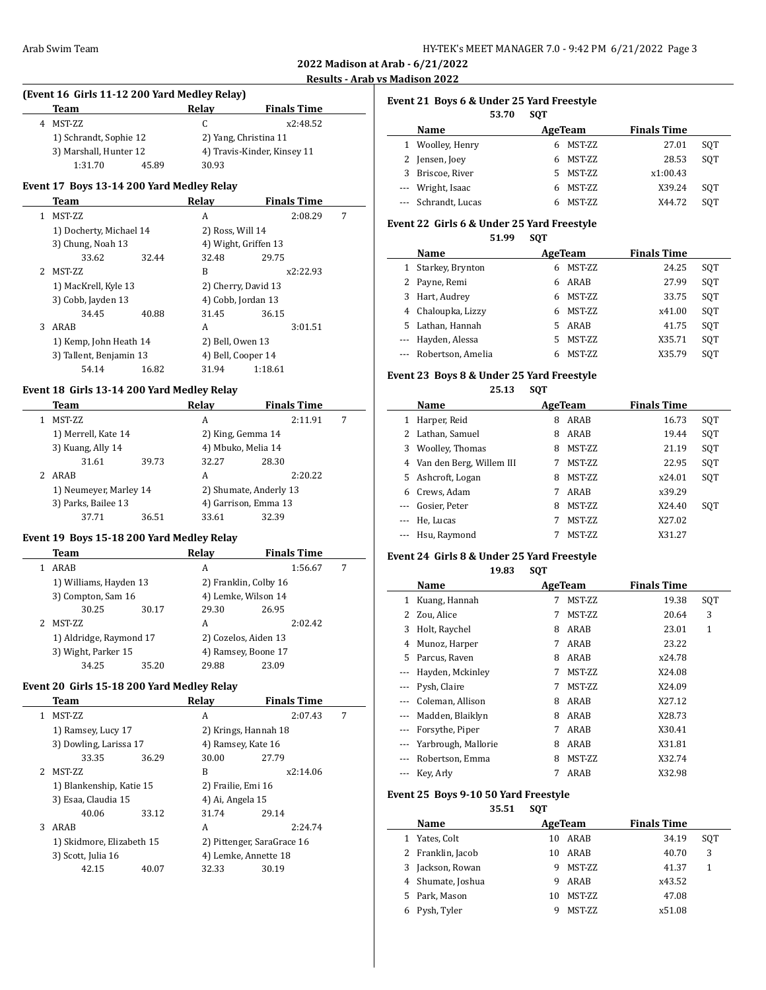# **Results - Arab vs Madison 2022**

 $\overline{a}$ 

| (Event 16 Girls 11-12 200 Yard Medley Relay) |                        |       |                             |  |  |  |
|----------------------------------------------|------------------------|-------|-----------------------------|--|--|--|
|                                              | Team                   | Relav | <b>Finals Time</b>          |  |  |  |
|                                              | 4 MST-ZZ               | C.    | x2:48.52                    |  |  |  |
|                                              | 1) Schrandt, Sophie 12 |       | 2) Yang, Christina 11       |  |  |  |
|                                              | 3) Marshall, Hunter 12 |       | 4) Travis-Kinder, Kinsey 11 |  |  |  |

# **Event 17 Boys 13-14 200 Yard Medley Relay**

1:31.70 45.89 30.93

|    | Team                    |       | Relav                | <b>Finals Time</b> |   |
|----|-------------------------|-------|----------------------|--------------------|---|
| 1. | MST-ZZ                  |       | A                    | 2:08.29            | 7 |
|    | 1) Docherty, Michael 14 |       | 2) Ross, Will 14     |                    |   |
|    | 3) Chung, Noah 13       |       | 4) Wight, Griffen 13 |                    |   |
|    | 33.62                   | 32.44 | 32.48                | 29.75              |   |
| 2. | <b>MST-ZZ</b>           |       | B                    | x2:22.93           |   |
|    | 1) MacKrell, Kyle 13    |       | 2) Cherry, David 13  |                    |   |
|    | 3) Cobb, Jayden 13      |       | 4) Cobb, Jordan 13   |                    |   |
|    | 34.45                   | 40.88 | 31.45                | 36.15              |   |
| 3  | ARAB                    |       | A                    | 3:01.51            |   |
|    | 1) Kemp, John Heath 14  |       | 2) Bell, Owen 13     |                    |   |
|    | 3) Tallent, Benjamin 13 |       | 4) Bell, Cooper 14   |                    |   |
|    | 54.14                   | 16.82 | 31.94                | 1:18.61            |   |

## **Event 18 Girls 13-14 200 Yard Medley Relay**

|               | Team                                          |       | Relay                  | <b>Finals Time</b> |   |
|---------------|-----------------------------------------------|-------|------------------------|--------------------|---|
|               | MST-ZZ                                        |       | A                      | 2:11.91            | 7 |
|               | 1) Merrell, Kate 14                           |       | 2) King, Gemma 14      |                    |   |
|               | 3) Kuang, Ally 14                             |       | 4) Mbuko, Melia 14     |                    |   |
|               | 31.61                                         | 39.73 | 32.27                  | 28.30              |   |
| $\mathcal{L}$ | ARAB                                          |       | A                      | 2:20.22            |   |
|               | 1) Neumeyer, Marley 14<br>3) Parks, Bailee 13 |       | 2) Shumate, Anderly 13 |                    |   |
|               |                                               |       | 4) Garrison, Emma 13   |                    |   |
|               | 37.71                                         | 36.51 | 33.61                  | 32.39              |   |

# **Event 19 Boys 15-18 200 Yard Medley Relay**

| Team                    |       | Relay                 | <b>Finals Time</b> |   |
|-------------------------|-------|-----------------------|--------------------|---|
| ARAB                    |       | A                     | 1:56.67            | 7 |
| 1) Williams, Hayden 13  |       | 2) Franklin, Colby 16 |                    |   |
| 3) Compton, Sam 16      |       | 4) Lemke, Wilson 14   |                    |   |
| 30.25                   | 30.17 | 29.30                 | 26.95              |   |
| MST-ZZ                  |       | A                     | 2:02.42            |   |
| 1) Aldridge, Raymond 17 |       | 2) Cozelos, Aiden 13  |                    |   |
| 3) Wight, Parker 15     |       | 4) Ramsey, Boone 17   |                    |   |
| 34.25                   | 35.20 | 29.88                 | 23.09              |   |

## **Event 20 Girls 15-18 200 Yard Medley Relay**

|   | Team                      |       | Relay                      | <b>Finals Time</b> |   |
|---|---------------------------|-------|----------------------------|--------------------|---|
| 1 | <b>MST-ZZ</b>             |       | A                          | 2:07.43            | 7 |
|   | 1) Ramsey, Lucy 17        |       | 2) Krings, Hannah 18       |                    |   |
|   | 3) Dowling, Larissa 17    |       | 4) Ramsey, Kate 16         |                    |   |
|   | 33.35                     | 36.29 | 30.00                      | 27.79              |   |
|   | MST-ZZ                    |       | B                          | x2:14.06           |   |
|   | 1) Blankenship, Katie 15  |       | 2) Frailie, Emi 16         |                    |   |
|   | 3) Esaa, Claudia 15       |       | 4) Ai, Angela 15           |                    |   |
|   | 40.06                     | 33.12 | 31.74                      | 29.14              |   |
| 3 | ARAB                      |       | A                          | 2:24.74            |   |
|   | 1) Skidmore, Elizabeth 15 |       | 2) Pittenger, SaraGrace 16 |                    |   |
|   | 3) Scott, Julia 16        |       | 4) Lemke, Annette 18       |                    |   |
|   | 42.15                     | 40.07 | 32.33                      | 30.19              |   |
|   |                           |       |                            |                    |   |

|  |  |  | Event 21 Boys 6 & Under 25 Yard Freestyle |
|--|--|--|-------------------------------------------|
|--|--|--|-------------------------------------------|

|   |                   | 53.70 | <b>SOT</b> |               |                    |     |
|---|-------------------|-------|------------|---------------|--------------------|-----|
|   | Name              |       |            | AgeTeam       | <b>Finals Time</b> |     |
|   | 1 Woolley, Henry  |       | 6          | MST-ZZ        | 27.01              | SOT |
|   | 2 Jensen, Joey    |       | 6          | MST-ZZ        | 28.53              | SOT |
| 3 | Briscoe, River    |       | 5.         | <b>MST-ZZ</b> | x1:00.43           |     |
|   | --- Wright, Isaac |       | 6          | MST-ZZ        | X39.24             | SOT |
|   | Schrandt, Lucas   |       |            | MST-ZZ        | X44.72             | SOT |

## **Event 22 Girls 6 & Under 25 Yard Freestyle**

**51.99 SQT**

|              | Name                  |    | AgeTeam | <b>Finals Time</b> |     |
|--------------|-----------------------|----|---------|--------------------|-----|
| $\mathbf{1}$ | Starkey, Brynton      | 6  | MST-ZZ  | 24.25              | SOT |
|              | 2 Payne, Remi         | 6  | ARAB    | 27.99              | SOT |
|              | 3 Hart, Audrey        | 6  | MST-ZZ  | 33.75              | SOT |
|              | 4 Chaloupka, Lizzy    | 6  | MST-ZZ  | x41.00             | SOT |
|              | 5 Lathan, Hannah      | 5. | ARAB    | 41.75              | SOT |
|              | --- Hayden, Alessa    |    | MST-ZZ  | X35.71             | SOT |
|              | --- Robertson, Amelia |    | MST-ZZ  | X35.79             | SOT |

## **Event 23 Boys 8 & Under 25 Yard Freestyle 25.13 SQT**

|     | Name                     | AgeTeam     | <b>Finals Time</b> |     |
|-----|--------------------------|-------------|--------------------|-----|
| 1   | Harper, Reid             | ARAB<br>8   | 16.73              | SQT |
|     | 2 Lathan, Samuel         | ARAB<br>8   | 19.44              | SOT |
| 3   | <b>Woolley, Thomas</b>   | MST-ZZ<br>8 | 21.19              | SQT |
| 4   | Van den Berg, Willem III | MST-ZZ      | 22.95              | SQT |
|     | 5 Ashcroft, Logan        | MST-ZZ<br>8 | x24.01             | SOT |
| 6   | Crews, Adam              | ARAB<br>7   | x39.29             |     |
| --- | Gosier, Peter            | MST-ZZ<br>8 | X24.40             | SOT |
|     | He, Lucas                | MST-ZZ<br>7 | X27.02             |     |
|     | --- Hsu, Raymond         | MST-ZZ      | X31.27             |     |

# **Event 24 Girls 8 & Under 25 Yard Freestyle**

**19.83 SQT**

|                      | Name                |   | AgeTeam       | <b>Finals Time</b> |     |
|----------------------|---------------------|---|---------------|--------------------|-----|
| 1                    | Kuang, Hannah       | 7 | MST-ZZ        | 19.38              | SQT |
|                      | Zou, Alice          | 7 | <b>MST-ZZ</b> | 20.64              | 3   |
| 3                    | Holt, Raychel       | 8 | ARAB          | 23.01              | 1   |
| 4                    | Munoz, Harper       | 7 | ARAB          | 23.22              |     |
| 5.                   | Parcus, Raven       | 8 | ARAB          | x24.78             |     |
| $\cdots$             | Hayden, Mckinley    | 7 | MST-ZZ        | X24.08             |     |
| $\cdots$             | Pysh, Claire        | 7 | MST-ZZ        | X24.09             |     |
|                      | Coleman, Allison    | 8 | ARAB          | X27.12             |     |
| $\scriptstyle\cdots$ | Madden, Blaiklyn    | 8 | ARAB          | X28.73             |     |
| $\cdots$             | Forsythe, Piper     | 7 | ARAB          | X30.41             |     |
|                      | Yarbrough, Mallorie | 8 | ARAB          | X31.81             |     |
|                      | Robertson, Emma     | 8 | MST-ZZ        | X32.74             |     |
|                      | Key, Arly           | 7 | ARAB          | X32.98             |     |

## **Event 25 Boys 9-10 50 Yard Freestyle**

**35.51 SQT**

|    | Name              |    | AgeTeam       | <b>Finals Time</b> |     |
|----|-------------------|----|---------------|--------------------|-----|
|    | Yates, Colt       | 10 | ARAB          | 34.19              | SOT |
|    | 2 Franklin, Jacob | 10 | ARAB          | 40.70              | 3   |
| 3  | Jackson, Rowan    | 9  | <b>MST-ZZ</b> | 41.37              | 1   |
|    | 4 Shumate, Joshua | 9  | ARAB          | x43.52             |     |
| 5. | Park, Mason       | 10 | <b>MST-ZZ</b> | 47.08              |     |
|    | Pysh, Tyler       |    | <b>MST-ZZ</b> | x51.08             |     |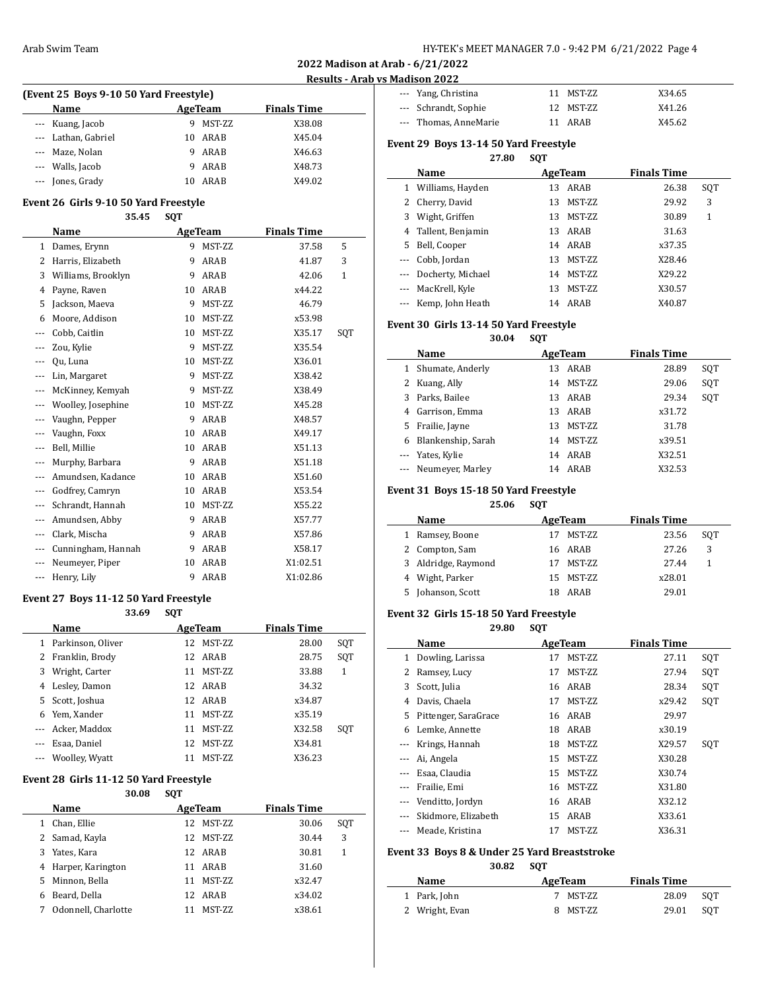$\overline{a}$ 

 $\overline{\phantom{a}}$ 

## **Results - Arab vs Madison 2022**

| (Event 25 Boys 9-10 50 Yard Freestyle) |                     |    |                |                    |  |  |
|----------------------------------------|---------------------|----|----------------|--------------------|--|--|
|                                        | Name                |    | <b>AgeTeam</b> | <b>Finals Time</b> |  |  |
|                                        | --- Kuang, Jacob    |    | MST-ZZ         | X38.08             |  |  |
|                                        | --- Lathan, Gabriel | 10 | ARAB           | X45.04             |  |  |
|                                        | --- Maze, Nolan     |    | ARAB           | X46.63             |  |  |
|                                        | --- Walls, Jacob    |    | ARAB           | X48.73             |  |  |
|                                        | --- Jones, Grady    | 10 | ARAB           | X49.02             |  |  |

## **Event 26 Girls 9-10 50 Yard Freestyle**

**35.45 SQT**

|              | Name               |    | <b>AgeTeam</b> | <b>Finals Time</b> |              |
|--------------|--------------------|----|----------------|--------------------|--------------|
| $\mathbf{1}$ | Dames, Erynn       | 9  | MST-ZZ         | 37.58              | 5            |
| 2            | Harris, Elizabeth  | 9  | ARAB           | 41.87              | 3            |
| 3            | Williams, Brooklyn | 9  | ARAB           | 42.06              | $\mathbf{1}$ |
| 4            | Payne, Raven       | 10 | ARAB           | x44.22             |              |
| 5            | Jackson, Maeva     | 9  | MST-ZZ         | 46.79              |              |
| 6            | Moore, Addison     | 10 | MST-ZZ         | x53.98             |              |
| ---          | Cobb, Caitlin      | 10 | MST-ZZ         | X35.17             | SQT          |
|              | Zou, Kylie         | 9  | MST-ZZ         | X35.54             |              |
|              | Ou, Luna           | 10 | MST-ZZ         | X36.01             |              |
| ---          | Lin, Margaret      | 9  | MST-ZZ         | X38.42             |              |
| ---          | McKinney, Kemyah   | 9  | MST-ZZ         | X38.49             |              |
| ---          | Woolley, Josephine | 10 | MST-ZZ         | X45.28             |              |
| ---          | Vaughn, Pepper     | 9  | ARAB           | X48.57             |              |
| ---          | Vaughn, Foxx       | 10 | ARAB           | X49.17             |              |
| ---          | Bell, Millie       | 10 | ARAB           | X51.13             |              |
| ---          | Murphy, Barbara    | 9  | <b>ARAB</b>    | X51.18             |              |
| ---          | Amundsen, Kadance  | 10 | ARAB           | X51.60             |              |
| ---          | Godfrey, Camryn    | 10 | ARAB           | X53.54             |              |
| $\cdots$     | Schrandt, Hannah   | 10 | MST-ZZ         | X55.22             |              |
| ---          | Amundsen, Abby     | 9  | ARAB           | X57.77             |              |
| ---          | Clark, Mischa      | 9  | <b>ARAB</b>    | X57.86             |              |
| ---          | Cunningham, Hannah | 9  | ARAB           | X58.17             |              |
| ---          | Neumeyer, Piper    | 10 | ARAB           | X1:02.51           |              |
| ---          | Henry, Lily        | 9  | ARAB           | X1:02.86           |              |

#### **Event 27 Boys 11-12 50 Yard Freestyle 33.69 SQT**

|   | JJ.V                | JVI |                 |                    |     |
|---|---------------------|-----|-----------------|--------------------|-----|
|   | <b>Name</b>         |     | <b>AgeTeam</b>  | <b>Finals Time</b> |     |
|   | 1 Parkinson, Oliver | 12  | MST-ZZ          | 28.00              | SQT |
|   | 2 Franklin, Brody   |     | 12 ARAB         | 28.75              | SQT |
| 3 | Wright, Carter      | 11  | MST-ZZ          | 33.88              | 1   |
|   | 4 Lesley, Damon     |     | 12 ARAB         | 34.32              |     |
|   | 5 Scott, Joshua     |     | 12 ARAB         | x34.87             |     |
|   | 6 Yem, Xander       | 11  | MST-ZZ          | x35.19             |     |
|   | --- Acker, Maddox   | 11  | MST-ZZ          | X32.58             | SOT |
|   | Esaa, Daniel        | 12  | MST-ZZ          | X34.81             |     |
|   | --- Woolley, Wyatt  | 11  | <b>MST-7.7.</b> | X36.23             |     |

#### **Event 28 Girls 11-12 50 Yard Freestyle**

# **30.08 SQT Name Age Team Finals Time** 1 Chan, Ellie 12 MST-ZZ 30.06 SQT

| 2 Samad, Kayla      |    | 12 MST-ZZ | 30.44  | 3 |
|---------------------|----|-----------|--------|---|
| 3 Yates, Kara       |    | 12 ARAB   | 30.81  |   |
| 4 Harper, Karington |    | 11 ARAB   | 31.60  |   |
| 5 Minnon, Bella     | 11 | MST-ZZ    | x32.47 |   |
| Beard, Della        |    | 12 ARAB   | x34.02 |   |
| Odonnell, Charlotte |    | MST-ZZ    | x38.61 |   |

| --- Yang, Christina   | 11 MST-ZZ | X34.65 |
|-----------------------|-----------|--------|
| --- Schrandt, Sophie  | 12 MST-ZZ | X41.26 |
| --- Thomas, AnneMarie | 11 ARAR   | X45.62 |

# **Event 29 Boys 13-14 50 Yard Freestyle**

## **27.80 SQT**

|    | Name                  | AgeTeam      | <b>Finals Time</b> |     |
|----|-----------------------|--------------|--------------------|-----|
| 1  | Williams, Hayden      | ARAB<br>13   | 26.38              | SQT |
| 2  | Cherry, David         | MST-ZZ<br>13 | 29.92              | 3   |
| 3  | Wight, Griffen        | MST-ZZ<br>13 | 30.89              | 1   |
|    | 4 Tallent, Benjamin   | 13 ARAB      | 31.63              |     |
| 5. | Bell, Cooper          | 14 ARAB      | x37.35             |     |
|    | --- Cobb, Jordan      | MST-ZZ<br>13 | X28.46             |     |
|    | --- Docherty, Michael | MST-ZZ<br>14 | X29.22             |     |
|    | --- MacKrell, Kyle    | MST-ZZ<br>13 | X30.57             |     |
|    | --- Kemp, John Heath  | 14 ARAB      | X40.87             |     |

## **Event 30 Girls 13-14 50 Yard Freestyle**

**30.04 SQT**

|          | Name               | AgeTeam |        | <b>Finals Time</b> |       |     |
|----------|--------------------|---------|--------|--------------------|-------|-----|
| 1        | Shumate, Anderly   | 13      | ARAB   |                    | 28.89 | SQT |
|          | Kuang, Ally        | 14      | MST-ZZ |                    | 29.06 | SQT |
| 3        | Parks, Bailee      | 13      | ARAB   |                    | 29.34 | SQT |
| 4        | Garrison, Emma     | 13      | ARAB   | x31.72             |       |     |
| 5        | Frailie, Jayne     | 13      | MST-ZZ |                    | 31.78 |     |
| 6        | Blankenship, Sarah | 14      | MST-ZZ | x39.51             |       |     |
|          | --- Yates, Kylie   | 14      | ARAB   | X32.51             |       |     |
| $\cdots$ | Neumeyer, Marley   | 14      | ARAB   | X32.53             |       |     |

## **Event 31 Boys 15-18 50 Yard Freestyle**

**25.06 SQT**

|                 | Name                |     | AgeTeam       | <b>Finals Time</b> |        |     |  |
|-----------------|---------------------|-----|---------------|--------------------|--------|-----|--|
| 1               | Ramsey, Boone       |     | <b>MST-ZZ</b> |                    | 23.56  | SOT |  |
| 2 Compton, Sam  |                     |     | 16 ARAB       |                    | 27.26  | 3   |  |
|                 | 3 Aldridge, Raymond |     | MST-ZZ        |                    | 27.44  |     |  |
| 4 Wight, Parker |                     |     | 15 MST-ZZ     |                    | x28.01 |     |  |
| 5.              | Johanson, Scott     | 18. | ARAR          |                    | 29.01  |     |  |

## **Event 32 Girls 15-18 50 Yard Freestyle**

**29.80 SQT**

|          | Name                 |    | AgeTeam       | <b>Finals Time</b> |     |
|----------|----------------------|----|---------------|--------------------|-----|
| 1        | Dowling, Larissa     | 17 | MST-ZZ        | 27.11              | SOT |
| 2        | Ramsey, Lucy         | 17 | MST-ZZ        | 27.94              | SQT |
| 3        | Scott, Julia         |    | 16 ARAB       | 28.34              | SQT |
| 4        | Davis, Chaela        | 17 | MST-ZZ        | x29.42             | SQT |
| 5.       | Pittenger, SaraGrace |    | 16 ARAB       | 29.97              |     |
| 6        | Lemke, Annette       | 18 | ARAB          | x30.19             |     |
|          | Krings, Hannah       | 18 | MST-ZZ        | X29.57             | SOT |
|          | Ai, Angela           | 15 | MST-ZZ        | X30.28             |     |
|          | Esaa, Claudia        | 15 | <b>MST-ZZ</b> | X30.74             |     |
|          | Frailie, Emi         | 16 | MST-ZZ        | X31.80             |     |
| $\cdots$ | Venditto, Jordyn     | 16 | ARAB          | X32.12             |     |
|          | Skidmore, Elizabeth  | 15 | ARAB          | X33.61             |     |
|          | Meade. Kristina      | 17 | MST-ZZ        | X36.31             |     |

## **Event 33 Boys 8 & Under 25 Yard Breaststroke 30.82 SQT**

| Name           | AgeTeam  | <b>Finals Time</b> |     |
|----------------|----------|--------------------|-----|
| 1 Park, John   | 7 MST-ZZ | 28.09              | SOT |
| 2 Wright, Evan | 8 MST-ZZ | 29.01              | SOT |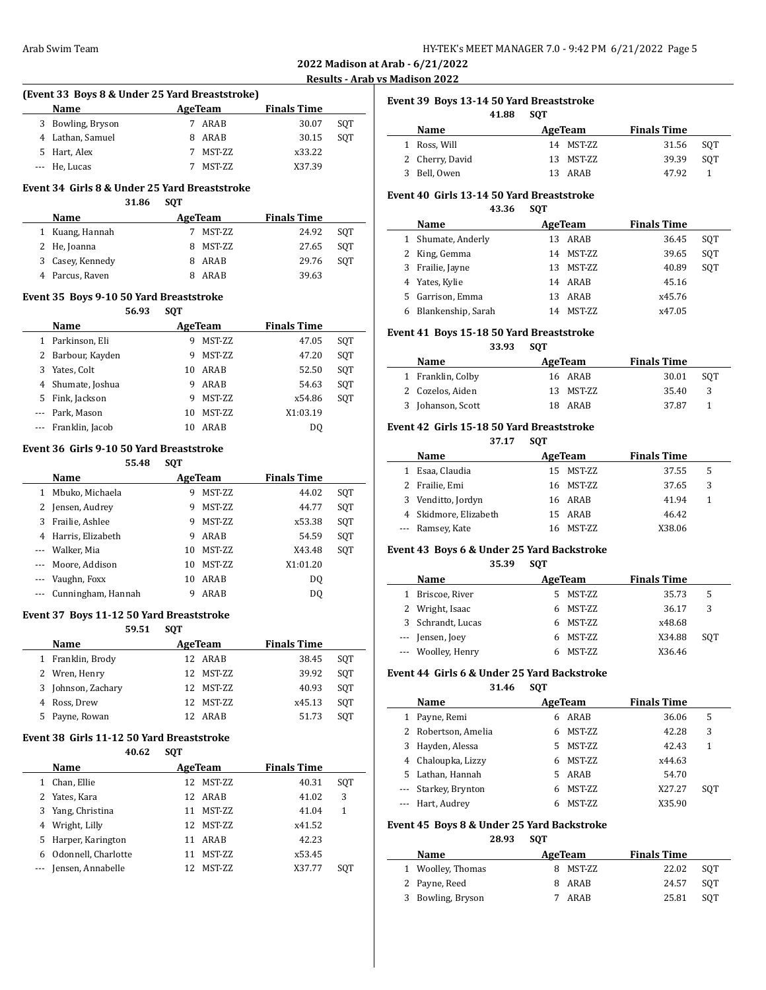## **Results - Arab vs Madison 2022**

| (Event 33 Boys 8 & Under 25 Yard Breaststroke) |  |               |                    |     |  |  |  |  |
|------------------------------------------------|--|---------------|--------------------|-----|--|--|--|--|
| <b>Name</b>                                    |  | AgeTeam       | <b>Finals Time</b> |     |  |  |  |  |
| 3 Bowling, Bryson                              |  | ARAB          | 30.07              | SOT |  |  |  |  |
| 4 Lathan, Samuel                               |  | ARAB          | 30.15              | SOT |  |  |  |  |
| 5 Hart, Alex                                   |  | <b>MST-ZZ</b> | x33.22             |     |  |  |  |  |
| --- He, Lucas                                  |  | MST-ZZ        | X37.39             |     |  |  |  |  |

#### **Event 34 Girls 8 & Under 25 Yard Breaststroke 31.86 SQT**

| .<br>.           |  |          |                    |     |
|------------------|--|----------|--------------------|-----|
| <b>Name</b>      |  | AgeTeam  | <b>Finals Time</b> |     |
| 1 Kuang, Hannah  |  | MST-ZZ   | 24.92              | SOT |
| 2 He, Joanna     |  | 8 MST-ZZ | 27.65              | SOT |
| 3 Casey, Kennedy |  | ARAB     | 29.76              | SOT |
| 4 Parcus, Raven  |  | ARAB     | 39.63              |     |

#### **Event 35 Boys 9-10 50 Yard Breaststroke 56.93 SQT**

|          | 56.93             | SVI |                 |                    |     |
|----------|-------------------|-----|-----------------|--------------------|-----|
|          | Name              |     | AgeTeam         | <b>Finals Time</b> |     |
|          | Parkinson, Eli    | 9   | <b>MST-ZZ</b>   | 47.05              | SQT |
|          | 2 Barbour, Kayden | 9   | MST-ZZ          | 47.20              | SQT |
| 3        | Yates, Colt       | 10  | ARAB            | 52.50              | SQT |
|          | Shumate, Joshua   | 9   | ARAB            | 54.63              | SQT |
| 5        | Fink, Jackson     | 9   | <b>MST-ZZ</b>   | x54.86             | SQT |
|          | Park, Mason       | 10  | <b>MST-7.7.</b> | X1:03.19           |     |
| $\cdots$ | Franklin, Jacob   | 10  | ARAB            | D0                 |     |

## **Event 36 Girls 9-10 50 Yard Breaststroke**

**55.48 SQT**

| Name |                        |    | AgeTeam         | <b>Finals Time</b> |     |
|------|------------------------|----|-----------------|--------------------|-----|
| 1    | Mbuko, Michaela        | 9  | MST-ZZ          | 44.02              | SQT |
| 2    | Jensen, Audrey         | 9  | MST-ZZ          | 44.77              | SQT |
| 3    | Frailie, Ashlee        | 9  | MST-ZZ          | x53.38             | SOT |
| 4    | Harris, Elizabeth      | 9  | ARAB            | 54.59              | SQT |
|      | --- Walker, Mia        | 10 | <b>MST-7.7.</b> | X43.48             | SOT |
|      | --- Moore, Addison     | 10 | <b>MST-7.7.</b> | X1:01.20           |     |
|      | Vaughn, Foxx           | 10 | ARAB            | DO.                |     |
|      | --- Cunningham, Hannah |    | ARAB            | DO.                |     |

## **Event 37 Boys 11-12 50 Yard Breaststroke**

|                   | 59.51 SOT |           |                    |     |
|-------------------|-----------|-----------|--------------------|-----|
| Name              |           | AgeTeam   | <b>Finals Time</b> |     |
| 1 Franklin, Brody |           | 12 ARAR   | 38.45              | SOT |
| 2 Wren, Henry     |           | 12 MST-ZZ | 39.92              | SOT |

| 2 Wren, Henry      | 12 MST-ZZ | 39.92  | SOT |
|--------------------|-----------|--------|-----|
| 3 Johnson, Zachary | 12 MST-ZZ | 40.93  | SOT |
| 4 Ross, Drew       | 12 MST-ZZ | x45.13 | SOT |
| 5 Payne, Rowan     | 12 ARAB   | 51.73  | SOT |
|                    |           |        |     |

# **Event 38 Girls 11-12 50 Yard Breaststroke**

|   | 40.62               | <b>SQT</b> |               |                    |     |
|---|---------------------|------------|---------------|--------------------|-----|
|   | <b>Name</b>         |            | AgeTeam       | <b>Finals Time</b> |     |
| 1 | Chan, Ellie         | 12.        | <b>MST-ZZ</b> | 40.31              | SOT |
| 2 | Yates, Kara         | 12.        | ARAB          | 41.02              | 3   |
| 3 | Yang, Christina     | 11         | MST-ZZ        | 41.04              | 1   |
| 4 | Wright, Lilly       | 12.        | MST-ZZ        | x41.52             |     |
| 5 | Harper, Karington   | 11         | ARAB          | 42.23              |     |
| 6 | Odonnell, Charlotte |            | <b>MST-ZZ</b> | x53.45             |     |
|   | Jensen, Annabelle   | 12         | MST-ZZ        | X37.77             | SOT |

# **Event 39 Boys 13-14 50 Yard Breaststroke**

|                 | 41.88 | <b>SOT</b> |             |                    |     |
|-----------------|-------|------------|-------------|--------------------|-----|
| Name            |       |            | AgeTeam     | <b>Finals Time</b> |     |
| 1 Ross, Will    |       |            | 14 MST-7.7. | 31.56              | SOT |
| 2 Cherry, David |       |            | 13 MST-ZZ   | 39.39              | SOT |
| 3 Bell. Owen    |       |            | 13 ARAB     | 47.92              |     |

# **Event 40 Girls 13-14 50 Yard Breaststroke**

**43.36 SQT**

| Name |                    | AgeTeam             | <b>Finals Time</b> |     |
|------|--------------------|---------------------|--------------------|-----|
|      | 1 Shumate, Anderly | ARAB<br>13.         | 36.45              | SOT |
|      | 2 King, Gemma      | <b>MST-ZZ</b><br>14 | 39.65              | SOT |
|      | 3 Frailie, Jayne   | MST-ZZ<br>13        | 40.89              | SOT |
|      | 4 Yates, Kylie     | 14 ARAB             | 45.16              |     |
|      | 5 Garrison, Emma   | ARAB<br>13          | x45.76             |     |
|      | Blankenship, Sarah | <b>MST-ZZ</b><br>14 | x47.05             |     |

## **Event 41 Boys 15-18 50 Yard Breaststroke**

**33.93 SQT**

| Name              | AgeTeam   | <b>Finals Time</b> |     |
|-------------------|-----------|--------------------|-----|
| 1 Franklin, Colby | 16 ARAB   | 30.01              | SOT |
| 2 Cozelos, Aiden  | 13 MST-ZZ | 35.40              | -3  |
| 3 Johanson, Scott | 18 ARAB   | 37.87              |     |

# **Event 42 Girls 15-18 50 Yard Breaststroke**

**37.17 SQT**

|   | Name<br>AgeTeam       |  |           | <b>Finals Time</b> |    |
|---|-----------------------|--|-----------|--------------------|----|
| 1 | Esaa, Claudia         |  | 15 MST-ZZ | 37.55              | -5 |
|   | 2 Frailie, Emi        |  | 16 MST-ZZ | 37.65              | 3  |
|   | 3 Venditto, Jordyn    |  | 16 ARAB   | 41.94              |    |
|   | 4 Skidmore, Elizabeth |  | 15 ARAB   | 46.42              |    |
|   | --- Ramsey, Kate      |  | 16 MST-ZZ | X38.06             |    |

# **Event 43 Boys 6 & Under 25 Yard Backstroke**

**35.39 SQT**

|   | Name               |    | AgeTeam       | <b>Finals Time</b> |     |
|---|--------------------|----|---------------|--------------------|-----|
|   | Briscoe, River     |    | 5 MST-ZZ      | 35.73              | 5   |
|   | 2 Wright, Isaac    |    | 6 MST-ZZ      | 36.17              | 3   |
| 3 | Schrandt, Lucas    |    | 6 MST-ZZ      | x48.68             |     |
|   | --- Jensen, Joey   | 6. | MST-ZZ        | X34.88             | SOT |
|   | --- Woolley, Henry |    | <b>MST-ZZ</b> | X36.46             |     |

## **Event 44 Girls 6 & Under 25 Yard Backstroke**

**31.46 SQT**

|   | Name                 |    | AgeTeam        | <b>Finals Time</b> |     |
|---|----------------------|----|----------------|--------------------|-----|
| 1 | Payne, Remi          | 6  | ARAB           | 36.06              | 5   |
|   | 2 Robertson, Amelia  | 6  | MST-ZZ         | 42.28              | 3   |
|   | 3 Hayden, Alessa     | 5. | <b>MST-ZZ</b>  | 42.43              | 1   |
|   | 4 Chaloupka, Lizzy   |    | <b>MST-ZZ</b>  | x44.63             |     |
|   | 5 Lathan, Hannah     |    | ARAB           | 54.70              |     |
|   | --- Starkey, Brynton | 6  | <b>MST-ZZ</b>  | X27.27             | SOT |
|   | --- Hart, Audrey     |    | <b>MST-7.7</b> | X35.90             |     |

# **Event 45 Boys 8 & Under 25 Yard Backstroke**

**28.93 SQT**

| <b>Name</b>       | AgeTeam  | <b>Finals Time</b> |     |
|-------------------|----------|--------------------|-----|
| 1 Woolley, Thomas | 8 MST-ZZ | 22.02              | SOT |
| 2 Payne, Reed     | 8 ARAB   | 24.57              | SOT |
| 3 Bowling, Bryson | 7 ARAB   | 25.81              | SOT |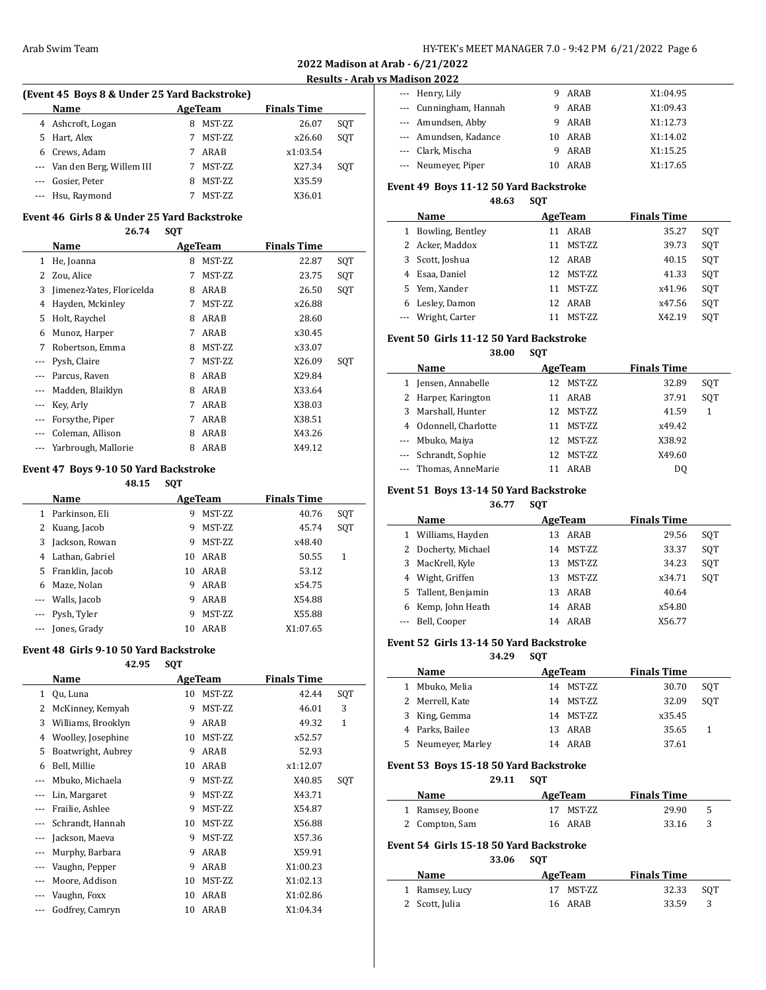## **Results - Arab vs Madison 2022**

| (Event 45 Boys 8 & Under 25 Yard Backstroke) |         |                    |
|----------------------------------------------|---------|--------------------|
| <b>Name</b>                                  | AgeTeam | <b>Finals Time</b> |

|    | 4 Ashcroft, Logan            | 8 | MST-ZZ         | 26.07    | SOT |
|----|------------------------------|---|----------------|----------|-----|
| 5. | Hart, Alex                   |   | MST-ZZ         | x26.60   | SOT |
|    | 6 Crews, Adam                |   | ARAB           | x1:03.54 |     |
|    | --- Van den Berg, Willem III |   | MST-ZZ         | X27.34   | SOT |
|    | --- Gosier, Peter            | 8 | MST-ZZ         | X35.59   |     |
|    | --- Hsu, Raymond             |   | <b>MST-7.7</b> | X36.01   |     |

# **Event 46 Girls 8 & Under 25 Yard Backstroke**

**26.74 SQT**

|   | Name                      | AgeTeam |        | <b>Finals Time</b> |     |
|---|---------------------------|---------|--------|--------------------|-----|
| 1 | He, Joanna                | 8       | MST-ZZ | 22.87              | SQT |
| 2 | Zou, Alice                | 7       | MST-ZZ | 23.75              | SQT |
| 3 | Jimenez-Yates, Floricelda | 8       | ARAB   | 26.50              | SQT |
| 4 | Hayden, Mckinley          | 7       | MST-ZZ | x26.88             |     |
| 5 | Holt, Raychel             | 8       | ARAB   | 28.60              |     |
| 6 | Munoz, Harper             | 7       | ARAB   | x30.45             |     |
| 7 | Robertson, Emma           | 8       | MST-ZZ | x33.07             |     |
|   | Pysh, Claire              | 7       | MST-ZZ | X26.09             | SQT |
|   | Parcus, Raven             | 8       | ARAB   | X29.84             |     |
|   | Madden, Blaiklyn          | 8       | ARAB   | X33.64             |     |
|   | Key, Arly                 | 7       | ARAB   | X38.03             |     |
|   | Forsythe, Piper           | 7       | ARAB   | X38.51             |     |
|   | Coleman, Allison          | 8       | ARAB   | X43.26             |     |
|   | Yarbrough, Mallorie       | 8       | ARAB   | X49.12             |     |

## **Event 47 Boys 9-10 50 Yard Backstroke**

|                                        |                 | 48.15 | <b>SQT</b> |                 |                    |     |
|----------------------------------------|-----------------|-------|------------|-----------------|--------------------|-----|
|                                        | <b>Name</b>     |       |            | AgeTeam         | <b>Finals Time</b> |     |
| 1                                      | Parkinson, Eli  |       | 9          | <b>MST-7.7.</b> | 40.76              | SQT |
| 2                                      | Kuang, Jacob    |       | 9          | MST-ZZ          | 45.74              | SOT |
| 3                                      | Jackson, Rowan  |       | 9          | <b>MST-7.7.</b> | x48.40             |     |
| 4                                      | Lathan, Gabriel |       | 10         | ARAB            | 50.55              | 1   |
| 5                                      | Franklin, Jacob |       | 10         | ARAB            | 53.12              |     |
| 6                                      | Maze, Nolan     |       | 9          | ARAB            | x54.75             |     |
| ---                                    | Walls, Jacob    |       | 9          | ARAB            | X54.88             |     |
|                                        | --- Pysh, Tyler |       | 9          | <b>MST-7.7.</b> | X55.88             |     |
| $\scriptstyle\cdots\scriptstyle\cdots$ | Jones, Grady    |       | 10         | ARAB            | X1:07.65           |     |

#### **Event 48 Girls 9-10 50 Yard Backstroke**

**42.95 SQT**

|          | Name               |    | AgeTeam | <b>Finals Time</b> |     |
|----------|--------------------|----|---------|--------------------|-----|
| 1        | Qu, Luna           | 10 | MST-ZZ  | 42.44              | SQT |
| 2        | McKinney, Kemyah   | 9  | MST-ZZ  | 46.01              | 3   |
| 3        | Williams, Brooklyn | 9  | ARAB    | 49.32              | 1   |
| 4        | Woolley, Josephine | 10 | MST-ZZ  | x52.57             |     |
| 5        | Boatwright, Aubrey | 9  | ARAB    | 52.93              |     |
| 6        | Bell, Millie       | 10 | ARAB    | x1:12.07           |     |
|          | Mbuko, Michaela    | 9  | MST-ZZ  | X40.85             | SQT |
| $---$    | Lin, Margaret      | 9  | MST-ZZ  | X43.71             |     |
| $\cdots$ | Frailie, Ashlee    | 9  | MST-ZZ  | X54.87             |     |
| $\cdots$ | Schrandt, Hannah   | 10 | MST-ZZ  | X56.88             |     |
| $\cdots$ | Jackson, Maeva     | 9  | MST-ZZ  | X57.36             |     |
| $---$    | Murphy, Barbara    | 9  | ARAB    | X59.91             |     |
|          | Vaughn, Pepper     | 9  | ARAB    | X1:00.23           |     |
|          | Moore, Addison     | 10 | MST-ZZ  | X1:02.13           |     |
|          | Vaughn, Foxx       | 10 | ARAB    | X1:02.86           |     |
|          | Godfrey, Camryn    | 10 | ARAB    | X1:04.34           |     |
|          |                    |    |         |                    |     |

| --- Henry, Lily        | 9 ARAB    | X1:04.95 |
|------------------------|-----------|----------|
| --- Cunningham, Hannah | ARAB<br>9 | X1:09.43 |
| --- Amundsen, Abby     | 9 ARAB    | X1:12.73 |
| --- Amundsen, Kadance  | 10 ARAB   | X1:14.02 |
| --- Clark, Mischa      | ARAB<br>q | X1:15.25 |
| --- Neumeyer, Piper    | ARAR      | X1:17.65 |

# **Event 49 Boys 11-12 50 Yard Backstroke**

**48.63 SQT**

| Name |                    | AgeTeam               | <b>Finals Time</b> |     |
|------|--------------------|-----------------------|--------------------|-----|
|      | 1 Bowling, Bentley | ARAB<br>11            | 35.27              | SOT |
|      | 2 Acker, Maddox    | <b>MST-ZZ</b><br>11   | 39.73              | SOT |
|      | 3 Scott, Joshua    | 12 ARAB               | 40.15              | SOT |
|      | 4 Esaa, Daniel     | <b>MST-7.7.</b><br>12 | 41.33              | SOT |
|      | 5 Yem, Xander      | <b>MST-ZZ</b><br>11   | x41.96             | SOT |
|      | Lesley, Damon      | 12 ARAB               | x47.56             | SOT |
|      | --- Wright, Carter | MST-ZZ                | X42.19             | SOT |

## **Event 50 Girls 11-12 50 Yard Backstroke**

**38.00 SQT**

| Name                  |    | AgeTeam       | <b>Finals Time</b> |     |
|-----------------------|----|---------------|--------------------|-----|
| 1 Jensen, Annabelle   |    | 12 MST-ZZ     | 32.89              | SOT |
| 2 Harper, Karington   |    | ARAB          | 37.91              | SOT |
| 3 Marshall, Hunter    |    | 12 MST-ZZ     | 41.59              | 1   |
| 4 Odonnell, Charlotte | 11 | <b>MST-ZZ</b> | x49.42             |     |
| --- Mbuko, Maiya      |    | 12 MST-7.7.   | X38.92             |     |
| --- Schrandt, Sophie  |    | 12 MST-ZZ     | X49.60             |     |
| --- Thomas, AnneMarie |    | ARAB          | D <sub>0</sub>     |     |

## **Event 51 Boys 13-14 50 Yard Backstroke**

**36.77 SQT**

|   | Name                | AgeTeam |               | <b>Finals Time</b> |     |
|---|---------------------|---------|---------------|--------------------|-----|
| 1 | Williams, Hayden    | 13      | ARAB          | 29.56              | SOT |
|   | 2 Docherty, Michael | 14      | <b>MST-ZZ</b> | 33.37              | SOT |
|   | 3 MacKrell, Kyle    | 13      | <b>MST-ZZ</b> | 34.23              | SOT |
|   | 4 Wight, Griffen    | 13      | MST-ZZ        | x34.71             | SOT |
|   | 5 Tallent, Benjamin | 13      | ARAB          | 40.64              |     |
|   | 6 Kemp, John Heath  | 14      | ARAB          | x54.80             |     |
|   | Bell, Cooper        | 14      | ARAB          | X56.77             |     |

## **Event 52 Girls 13-14 50 Yard Backstroke**

#### **34.29 SQT**

|   | Name             | AgeTeam    | <b>Finals Time</b> |     |
|---|------------------|------------|--------------------|-----|
|   | Mbuko, Melia     | 14 MST-ZZ  | 30.70              | SOT |
|   | 2 Merrell, Kate  | 14 MST-ZZ  | 32.09              | SOT |
|   | 3 King, Gemma    | 14 MST-ZZ  | x35.45             |     |
|   | 4 Parks, Bailee  | 13 ARAB    | 35.65              |     |
| 5 | Neumeyer, Marley | ARAR<br>14 | 37.61              |     |

# **Event 53 Boys 15-18 50 Yard Backstroke**

**29.11 SQT**

| <b>Name</b><br>AgeTeam |           | <b>Finals Time</b> |       |    |  |
|------------------------|-----------|--------------------|-------|----|--|
| 1 Ramsey, Boone        | 17 MST-ZZ |                    | 29.90 | -5 |  |
| 2 Compton, Sam         | 16 ARAB   |                    | 33.16 |    |  |

# **Event 54 Girls 15-18 50 Yard Backstroke**

# **33.06 SQT**

| AgeTeam<br>Name |           | <b>Finals Time</b> |     |
|-----------------|-----------|--------------------|-----|
| 1 Ramsey, Lucy  | 17 MST-ZZ | 32.33              | SOT |
| 2 Scott, Julia  | 16 ARAB   | 33.59              |     |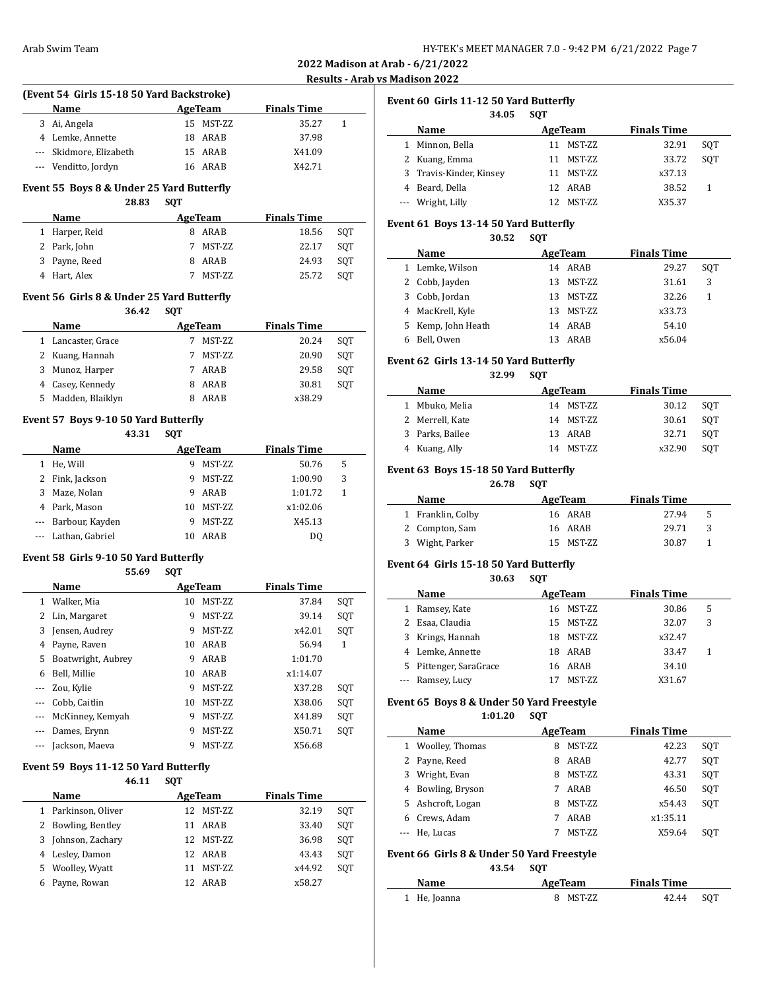## **Results - Arab vs Madison 2022**

# **(Event 54 Girls 15-18 50 Yard Backstroke) Name Age Team Finals Time** 3 Ai, Angela 15 MST-ZZ 35.27 1 4 Lemke, Annette 18 ARAB 37.98 --- Skidmore, Elizabeth 15 ARAB X41.09

--- Venditto, Jordyn 16 ARAB X42.71

## **Event 55 Boys 8 & Under 25 Yard Butterfly 28.83 SQT**

| 20.03          | 3V I |               |                    |     |
|----------------|------|---------------|--------------------|-----|
| <b>Name</b>    |      | AgeTeam       | <b>Finals Time</b> |     |
| 1 Harper, Reid |      | ARAB          | 18.56              | SOT |
| 2 Park, John   |      | MST-ZZ        | 22.17              | SOT |
| 3 Payne, Reed  |      | ARAB          | 24.93              | SOT |
| 4 Hart, Alex   |      | <b>MST-ZZ</b> | 25.72              | SOT |

## **Event 56 Girls 8 & Under 25 Yard Butterfly**

|    | 36.42              | <b>SOT</b> |               |                    |     |
|----|--------------------|------------|---------------|--------------------|-----|
|    | Name               |            | AgeTeam       | <b>Finals Time</b> |     |
|    | 1 Lancaster, Grace |            | <b>MST-ZZ</b> | 20.24              | SOT |
|    | 2 Kuang, Hannah    |            | <b>MST-ZZ</b> | 20.90              | SOT |
| 3  | Munoz, Harper      |            | ARAB          | 29.58              | SOT |
| 4  | Casey, Kennedy     | 8          | ARAB          | 30.81              | SOT |
| 5. | Madden, Blaiklyn   |            | ARAB          | x38.29             |     |

# **Event 57 Boys 9-10 50 Yard Butterfly**

|          | 43.31               | <b>SOT</b> |               |                    |   |  |
|----------|---------------------|------------|---------------|--------------------|---|--|
|          | Name                |            | AgeTeam       | <b>Finals Time</b> |   |  |
|          | He, Will            | 9          | <b>MST-ZZ</b> | 50.76              | 5 |  |
|          | Fink, Jackson       | 9          | <b>MST-ZZ</b> | 1:00.90            | 3 |  |
| 3        | Maze, Nolan         | 9          | ARAB          | 1:01.72            | 1 |  |
| 4        | Park, Mason         | 10         | <b>MST-ZZ</b> | x1:02.06           |   |  |
|          | --- Barbour, Kayden | 9          | <b>MST-ZZ</b> | X45.13             |   |  |
| $\cdots$ | Lathan, Gabriel     | 10         | ARAB          | DO                 |   |  |

## **Event 58 Girls 9-10 50 Yard Butterfly 55.69 SQT**

|       | Name               |    | AgeTeam       | <b>Finals Time</b> |     |
|-------|--------------------|----|---------------|--------------------|-----|
| 1     | Walker, Mia        | 10 | <b>MST-ZZ</b> | 37.84              | SQT |
|       | 2 Lin, Margaret    | 9  | MST-ZZ        | 39.14              | SQT |
| 3     | Jensen, Audrey     | 9  | MST-ZZ        | x42.01             | SQT |
| 4     | Payne, Raven       | 10 | ARAB          | 56.94              | 1   |
| 5     | Boatwright, Aubrey | 9  | ARAB          | 1:01.70            |     |
| 6     | Bell. Millie       | 10 | ARAB          | x1:14.07           |     |
|       | Zou, Kylie         | 9  | MST-ZZ        | X37.28             | SQT |
|       | Cobb. Caitlin      | 10 | MST-ZZ        | X38.06             | SQT |
|       | McKinney, Kemyah   | 9  | MST-ZZ        | X41.89             | SQT |
|       | Dames, Erynn       | 9  | MST-ZZ        | X50.71             | SOT |
| $---$ | Jackson, Maeva     | 9  | MST-ZZ        | X56.68             |     |

## **Event 59 Boys 11-12 50 Yard Butterfly**

| 46.11                   | <b>SOT</b>          |                    |     |
|-------------------------|---------------------|--------------------|-----|
| Name                    | AgeTeam             | <b>Finals Time</b> |     |
| Parkinson, Oliver<br>1. | 12 MST-ZZ           | 32.19              | SOT |
| 2 Bowling, Bentley      | ARAB<br>11          | 33.40              | SOT |
| 3 Johnson, Zachary      | 12 MST-7.7          | 36.98              | SOT |
| 4 Lesley, Damon         | 12 ARAB             | 43.43              | SOT |
| Woolley, Wyatt<br>5.    | <b>MST-ZZ</b><br>11 | x44.92             | SOT |
| Payne, Rowan            | 12 ARAB             | x58.27             |     |

# **Event 60 Girls 11-12 50 Yard Butterfly**

|   | 34.05                   | <b>SOT</b> |               |                    |     |
|---|-------------------------|------------|---------------|--------------------|-----|
|   | Name                    |            | AgeTeam       | <b>Finals Time</b> |     |
| 1 | Minnon, Bella           | 11         | MST-ZZ        | 32.91              | SOT |
|   | 2 Kuang, Emma           | 11         | MST-ZZ        | 33.72              | SOT |
|   | 3 Travis-Kinder, Kinsey | 11         | MST-ZZ        | x37.13             |     |
|   | 4 Beard, Della          |            | 12 ARAB       | 38.52              |     |
|   | --- Wright, Lilly       | 12.        | <b>MST-ZZ</b> | X35.37             |     |

#### **Event 61 Boys 13-14 50 Yard Butterfly**

#### **30.52 SQT**

| Name               |     | AgeTeam | <b>Finals Time</b> |     |  |
|--------------------|-----|---------|--------------------|-----|--|
| 1 Lemke, Wilson    |     | 14 ARAB | 29.27              | SOT |  |
| 2 Cobb, Jayden     | 13. | MST-ZZ  | 31.61              | 3   |  |
| 3 Cobb, Jordan     | 13  | MST-ZZ  | 32.26              | 1   |  |
| 4 MacKrell, Kyle   | 13. | MST-ZZ  | x33.73             |     |  |
| 5 Kemp, John Heath |     | 14 ARAB | 54.10              |     |  |
| Bell, Owen         | 13  | ARAB    | x56.04             |     |  |

## **Event 62 Girls 13-14 50 Yard Butterfly**

**32.99 SQT**

| Name            | AgeTeam    | <b>Finals Time</b> |     |
|-----------------|------------|--------------------|-----|
| 1 Mbuko, Melia  | 14 MST-7.7 | 30.12              | SOT |
| 2 Merrell, Kate | 14 MST-ZZ  | 30.61              | SOT |
| 3 Parks, Bailee | 13 ARAB    | 32.71              | SOT |
| 4 Kuang, Ally   | 14 MST-7.7 | x32.90             | SOT |

# **Event 63 Boys 15-18 50 Yard Butterfly**

**26.78 SQT**

| Name              | AgeTeam   | <b>Finals Time</b> |
|-------------------|-----------|--------------------|
| 1 Franklin, Colby | 16 ARAB   | 27.94<br>-5        |
| 2 Compton, Sam    | 16 ARAB   | 29.71<br>3         |
| 3 Wight, Parker   | 15 MST-ZZ | 30.87              |

## **Event 64 Girls 15-18 50 Yard Butterfly**

 $\overline{\phantom{a}}$ 

|    | 30.63                | <b>SOT</b> |               |                    |   |  |
|----|----------------------|------------|---------------|--------------------|---|--|
|    | Name                 |            | AgeTeam       | <b>Finals Time</b> |   |  |
|    | Ramsey, Kate         |            | 16 MST-7.7    | 30.86              | 5 |  |
|    | Esaa, Claudia        |            | 15 MST-7.7    | 32.07              | 3 |  |
| 3. | Krings, Hannah       | 18         | MST-7.7.      | x32.47             |   |  |
|    | 4 Lemke, Annette     | 18.        | ARAB          | 33.47              |   |  |
| 5. | Pittenger, SaraGrace |            | 16 ARAB       | 34.10              |   |  |
|    | --- Ramsey, Lucy     |            | <b>MST-ZZ</b> | X31.67             |   |  |

## **Event 65 Boys 8 & Under 50 Yard Freestyle 1:01.20 SQT**

|   | Name              |   | AgeTeam       | <b>Finals Time</b> |     |
|---|-------------------|---|---------------|--------------------|-----|
|   | 1 Woolley, Thomas | 8 | <b>MST-ZZ</b> | 42.23              | SOT |
|   | Payne, Reed       | 8 | ARAB          | 42.77              | SOT |
| 3 | Wright, Evan      | 8 | <b>MST-ZZ</b> | 43.31              | SOT |
|   | 4 Bowling, Bryson |   | ARAB          | 46.50              | SOT |
|   | 5 Ashcroft, Logan | 8 | <b>MST-ZZ</b> | x54.43             | SOT |
|   | Crews, Adam       |   | ARAB          | x1:35.11           |     |
|   | He. Lucas         |   | <b>MST-ZZ</b> | X59.64             | SOT |

### **Event 66 Girls 8 & Under 50 Yard Freestyle**

**43.54 SQT**

| <b>Name</b>  | AgeTeam  | <b>Finals Time</b> |     |
|--------------|----------|--------------------|-----|
| 1 He, Joanna | 8 MST-ZZ | 42.44              | SOT |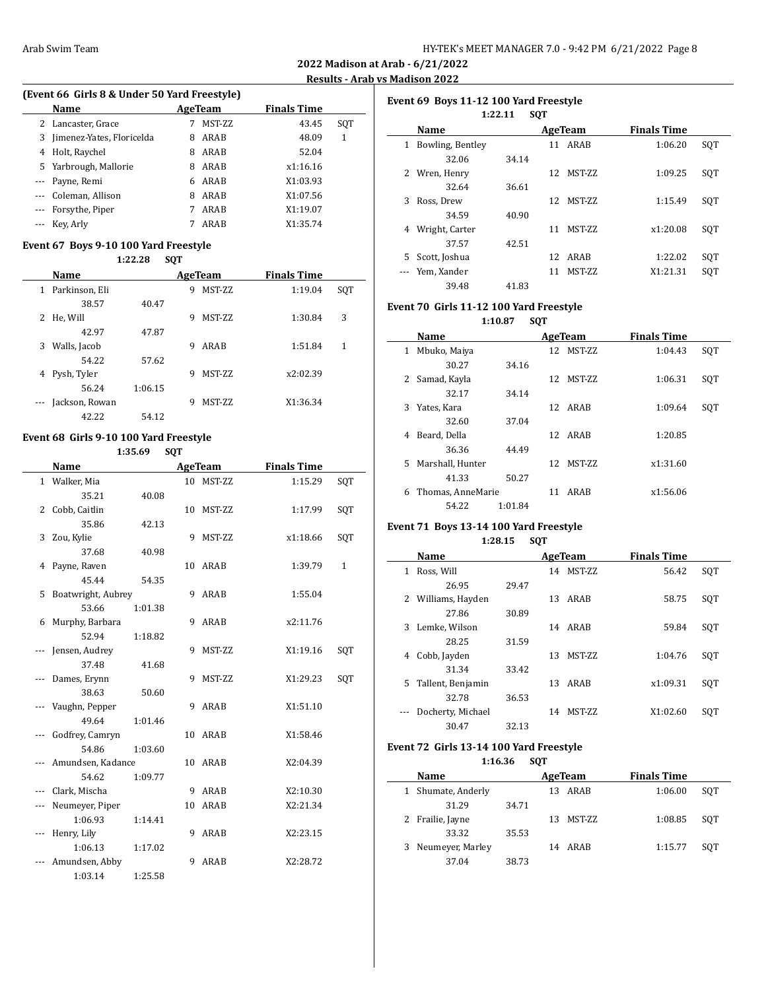**2022 Madison at Arab - 6/21/2022 Results - Arab vs Madison 2022**

# **(Event 66 Girls 8 & Under 50 Yard Freestyle)**

| Name |                                                                                                                                                                                 |        | <b>Finals Time</b> |     |
|------|---------------------------------------------------------------------------------------------------------------------------------------------------------------------------------|--------|--------------------|-----|
|      |                                                                                                                                                                                 | MST-ZZ | 43.45              | SOT |
|      | 8                                                                                                                                                                               | ARAB   | 48.09              | 1   |
|      | 8                                                                                                                                                                               | ARAB   | 52.04              |     |
|      | 8                                                                                                                                                                               | ARAB   | x1:16.16           |     |
|      | 6                                                                                                                                                                               | ARAB   | X1:03.93           |     |
|      | 8                                                                                                                                                                               | ARAB   | X1:07.56           |     |
|      |                                                                                                                                                                                 | ARAB   | X1:19.07           |     |
|      |                                                                                                                                                                                 | ARAB   | X1:35.74           |     |
|      | 2 Lancaster, Grace<br>3 Jimenez-Yates, Floricelda<br>4 Holt, Raychel<br>5 Yarbrough, Mallorie<br>--- Payne, Remi<br>--- Coleman, Allison<br>--- Forsythe, Piper<br>--- Key Arly |        | AgeTeam            |     |

# **Event 67 Boys 9-10 100 Yard Freestyle**

|                   | Name           |         |   | AgeTeam         | <b>Finals Time</b> |     |
|-------------------|----------------|---------|---|-----------------|--------------------|-----|
| 1                 | Parkinson, Eli |         | 9 | <b>MST-ZZ</b>   | 1:19.04            | SQT |
|                   | 38.57          | 40.47   |   |                 |                    |     |
| 2                 | He, Will       |         | 9 | <b>MST-7.7.</b> | 1:30.84            | 3   |
|                   | 42.97          | 47.87   |   |                 |                    |     |
| 3                 | Walls, Jacob   |         | 9 | ARAB            | 1:51.84            | 1   |
|                   | 54.22          | 57.62   |   |                 |                    |     |
| 4                 | Pysh, Tyler    |         | 9 | <b>MST-7.7.</b> | x2:02.39           |     |
|                   | 56.24          | 1:06.15 |   |                 |                    |     |
| $\qquad \qquad -$ | Jackson, Rowan |         | 9 | <b>MST-ZZ</b>   | X1:36.34           |     |
|                   | 42.22          | 54.12   |   |                 |                    |     |

# **Event 68 Girls 9-10 100 Yard Freestyle**

**1:35.69 SQT**

|   | <b>Name</b>        |         |    | <b>AgeTeam</b> | <b>Finals Time</b> |              |
|---|--------------------|---------|----|----------------|--------------------|--------------|
|   | 1 Walker, Mia      |         |    | 10 MST-ZZ      | 1:15.29            | SQT          |
|   | 35.21              | 40.08   |    |                |                    |              |
|   | 2 Cobb, Caitlin    |         |    | 10 MST-ZZ      | 1:17.99            | SQT          |
|   | 35.86              | 42.13   |    |                |                    |              |
| 3 | Zou, Kylie         |         | 9  | MST-ZZ         | x1:18.66           | SQT          |
|   | 37.68              | 40.98   |    |                |                    |              |
| 4 | Payne, Raven       |         |    | 10 ARAB        | 1:39.79            | $\mathbf{1}$ |
|   | 45.44              | 54.35   |    |                |                    |              |
| 5 | Boatwright, Aubrey |         | 9  | ARAB           | 1:55.04            |              |
|   | 53.66              | 1:01.38 |    |                |                    |              |
| 6 | Murphy, Barbara    |         | 9  | ARAB           | x2:11.76           |              |
|   | 52.94              | 1:18.82 |    |                |                    |              |
|   | Jensen, Audrey     |         | 9  | MST-ZZ         | X1:19.16           | SQT          |
|   | 37.48              | 41.68   |    |                |                    |              |
|   | Dames, Erynn       |         | 9  | MST-ZZ         | X1:29.23           | SQT          |
|   | 38.63              | 50.60   |    |                |                    |              |
|   | Vaughn, Pepper     |         | 9  | ARAB           | X1:51.10           |              |
|   | 49.64              | 1:01.46 |    |                |                    |              |
|   | Godfrey, Camryn    |         |    | 10 ARAB        | X1:58.46           |              |
|   | 54.86              | 1:03.60 |    |                |                    |              |
|   | Amundsen, Kadance  |         |    | 10 ARAB        | X2:04.39           |              |
|   | 54.62              | 1:09.77 |    |                |                    |              |
|   | Clark, Mischa      |         | 9  | ARAB           | X2:10.30           |              |
|   | Neumeyer, Piper    |         | 10 | ARAB           | X2:21.34           |              |
|   | 1:06.93            | 1:14.41 |    |                |                    |              |
|   | Henry, Lily        |         | 9  | ARAB           | X2:23.15           |              |
|   | 1:06.13            | 1:17.02 |    |                |                    |              |
|   | Amundsen, Abby     |         | 9  | ARAB           | X2:28.72           |              |
|   | 1:03.14            | 1:25.58 |    |                |                    |              |

| Event 69 Boys 11-12 100 Yard Freestyle |                  |         |            |         |                    |     |  |
|----------------------------------------|------------------|---------|------------|---------|--------------------|-----|--|
|                                        |                  | 1:22.11 | <b>SOT</b> |         |                    |     |  |
|                                        | Name             |         |            | AgeTeam | <b>Finals Time</b> |     |  |
| 1                                      | Bowling, Bentley |         | 11         | ARAB    | 1:06.20            | SOT |  |
|                                        | 32.06            | 34.14   |            |         |                    |     |  |
| 2                                      | Wren, Henry      |         | 12         | MST-ZZ  | 1:09.25            | SOT |  |
|                                        | 32.64            | 36.61   |            |         |                    |     |  |
| 3                                      | Ross, Drew       |         | 12         | MST-ZZ  | 1:15.49            | SOT |  |
|                                        | 34.59            | 40.90   |            |         |                    |     |  |
| 4                                      | Wright, Carter   |         | 11         | MST-ZZ  | x1:20.08           | SOT |  |
|                                        | 37.57            | 42.51   |            |         |                    |     |  |
| 5.                                     | Scott, Joshua    |         | 12         | ARAB    | 1:22.02            | SQT |  |
|                                        | Yem, Xander      |         | 11         | MST-ZZ  | X1:21.31           | SOT |  |
|                                        | 39.48            | 41.83   |            |         |                    |     |  |

# **Event 70 Girls 11-12 100 Yard Freestyle**

**1:10.87 SQT**

|              | Name              |         |    | AgeTeam       | <b>Finals Time</b> |     |
|--------------|-------------------|---------|----|---------------|--------------------|-----|
| $\mathbf{1}$ | Mbuko, Maiya      |         | 12 | <b>MST-ZZ</b> | 1:04.43            | SQT |
|              | 30.27             | 34.16   |    |               |                    |     |
| 2            | Samad, Kayla      |         | 12 | <b>MST-ZZ</b> | 1:06.31            | SQT |
|              | 32.17             | 34.14   |    |               |                    |     |
| 3            | Yates, Kara       |         |    | 12 ARAB       | 1:09.64            | SQT |
|              | 32.60             | 37.04   |    |               |                    |     |
| 4            | Beard, Della      |         |    | 12 ARAB       | 1:20.85            |     |
|              | 36.36             | 44.49   |    |               |                    |     |
| 5.           | Marshall, Hunter  |         | 12 | <b>MST-ZZ</b> | x1:31.60           |     |
|              | 41.33             | 50.27   |    |               |                    |     |
| 6            | Thomas, AnneMarie |         | 11 | ARAB          | x1:56.06           |     |
|              | 54.22             | 1:01.84 |    |               |                    |     |

# **Event 71 Boys 13-14 100 Yard Freestyle**

 $\overline{\phantom{0}}$ 

 $\overline{a}$ 

**1:28.15 SQT**

|    | Name              |       |    | AgeTeam       | <b>Finals Time</b> |     |  |
|----|-------------------|-------|----|---------------|--------------------|-----|--|
| 1  | Ross, Will        |       | 14 | <b>MST-ZZ</b> | 56.42              | SQT |  |
|    | 26.95             | 29.47 |    |               |                    |     |  |
| 2  | Williams, Hayden  |       | 13 | ARAB          | 58.75              | SOT |  |
|    | 27.86             | 30.89 |    |               |                    |     |  |
| 3  | Lemke, Wilson     |       |    | 14 ARAB       | 59.84              | SOT |  |
|    | 28.25             | 31.59 |    |               |                    |     |  |
| 4  | Cobb, Jayden      |       | 13 | <b>MST-ZZ</b> | 1:04.76            | SQT |  |
|    | 31.34             | 33.42 |    |               |                    |     |  |
| 5. | Tallent, Benjamin |       | 13 | ARAB          | x1:09.31           | SOT |  |
|    | 32.78             | 36.53 |    |               |                    |     |  |
|    | Docherty, Michael |       | 14 | <b>MST-ZZ</b> | X1:02.60           | SOT |  |
|    | 30.47             | 32.13 |    |               |                    |     |  |

# **Event 72 Girls 13-14 100 Yard Freestyle 1:16.36 SQT**

|   | Name             |       | AgeTeam |         | <b>Finals Time</b> |     |
|---|------------------|-------|---------|---------|--------------------|-----|
|   | Shumate, Anderly |       | 13      | ARAB    | 1:06.00            | SOT |
|   | 31.29            | 34.71 |         |         |                    |     |
|   | 2 Frailie, Jayne |       | 13      | MST-ZZ  | 1:08.85            | SOT |
|   | 33.32            | 35.53 |         |         |                    |     |
| 3 | Neumeyer, Marley |       |         | 14 ARAB | 1:15.77            | SOT |
|   | 37.04            | 38.73 |         |         |                    |     |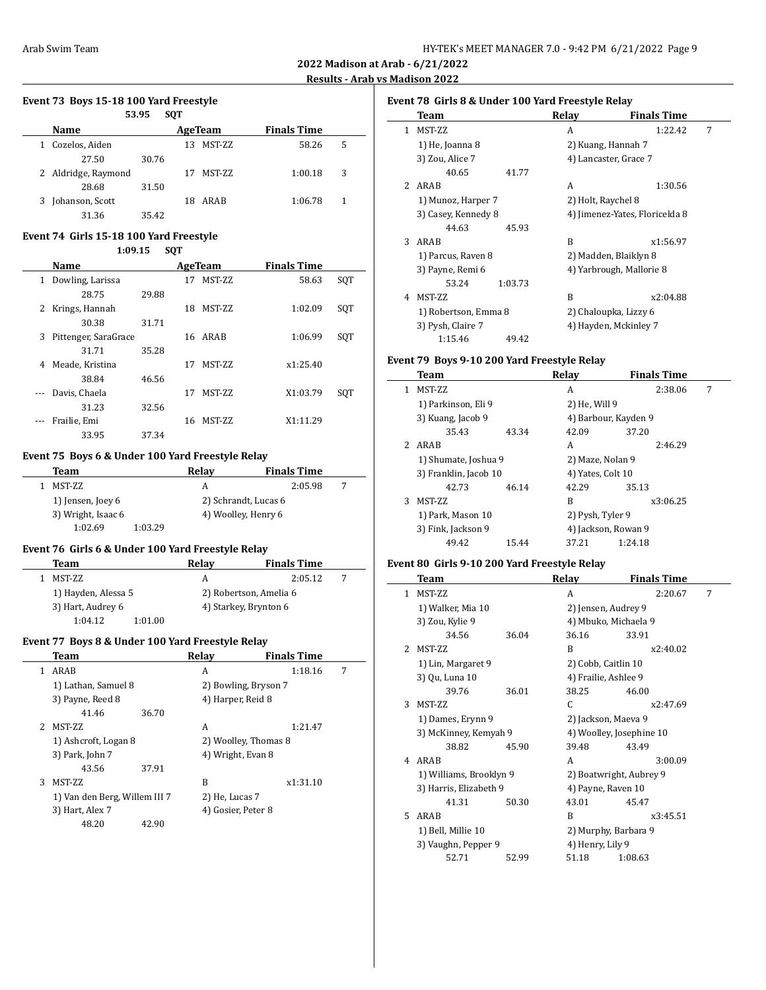**2022 Madison at Arab - 6/21/2022 Results - Arab vs Madison 2022**

 $\overline{\phantom{0}}$ 

 $\frac{1}{2}$ 

 $\overline{\phantom{a}}$ 

## **Event 73 Boys 15-18 100 Yard Freestyle**

|   | 53.95<br><b>SOT</b> |       |    |               |                    |   |  |
|---|---------------------|-------|----|---------------|--------------------|---|--|
|   | Name                |       |    | AgeTeam       | <b>Finals Time</b> |   |  |
| 1 | Cozelos, Aiden      |       | 13 | <b>MST-ZZ</b> | 58.26              | 5 |  |
|   | 27.50               | 30.76 |    |               |                    |   |  |
|   | 2 Aldridge, Raymond |       | 17 | MST-ZZ        | 1:00.18            | 3 |  |
|   | 28.68               | 31.50 |    |               |                    |   |  |
|   | Johanson, Scott     |       | 18 | ARAB          | 1:06.78            | 1 |  |
|   | 31.36               | 35.42 |    |               |                    |   |  |

# **Event 74 Girls 15-18 100 Yard Freestyle**

|          | 1:09.15              |       | <b>SOT</b> |               |                    |     |
|----------|----------------------|-------|------------|---------------|--------------------|-----|
|          | <b>Name</b>          |       |            | AgeTeam       | <b>Finals Time</b> |     |
| 1        | Dowling, Larissa     |       | 17         | <b>MST-ZZ</b> | 58.63              | SQT |
|          | 28.75                | 29.88 |            |               |                    |     |
| 2        | Krings, Hannah       |       | 18         | MST-ZZ        | 1:02.09            | SQT |
|          | 30.38                | 31.71 |            |               |                    |     |
| 3        | Pittenger, SaraGrace |       |            | 16 ARAB       | 1:06.99            | SQT |
|          | 31.71                | 35.28 |            |               |                    |     |
| 4        | Meade, Kristina      |       | 17         | MST-ZZ        | x1:25.40           |     |
|          | 38.84                | 46.56 |            |               |                    |     |
| $\cdots$ | Davis, Chaela        |       | 17         | <b>MST-ZZ</b> | X1:03.79           | SQT |
|          | 31.23                | 32.56 |            |               |                    |     |
|          | Frailie, Emi         |       | 16         | MST-ZZ        | X1:11.29           |     |
|          | 33.95                | 37.34 |            |               |                    |     |

# **Event 75 Boys 6 & Under 100 Yard Freestyle Relay**

| Team               | Relav                | <b>Finals Time</b> |  |
|--------------------|----------------------|--------------------|--|
| MST-ZZ             | А                    | 2:05.98            |  |
| 1) Jensen, Joey 6  | 2) Schrandt, Lucas 6 |                    |  |
| 3) Wright, Isaac 6 | 4) Woolley, Henry 6  |                    |  |
| 1:03.29<br>1:02.69 |                      |                    |  |

## **Event 76 Girls 6 & Under 100 Yard Freestyle Relay**

| Team                | Relav                  | <b>Finals Time</b> |  |
|---------------------|------------------------|--------------------|--|
| MST-ZZ              | А                      | 2:05.12            |  |
| 1) Hayden, Alessa 5 | 2) Robertson, Amelia 6 |                    |  |
| 3) Hart, Audrey 6   | 4) Starkey, Brynton 6  |                    |  |
| 1:04.12<br>1:01.00  |                        |                    |  |

## **Event 77 Boys 8 & Under 100 Yard Freestyle Relay**

|   | Team                          |       | Relay                | <b>Finals Time</b> |   |
|---|-------------------------------|-------|----------------------|--------------------|---|
|   | ARAB                          |       | A                    | 1:18.16            | 7 |
|   | 1) Lathan, Samuel 8           |       | 2) Bowling, Bryson 7 |                    |   |
|   | 3) Payne, Reed 8              |       | 4) Harper, Reid 8    |                    |   |
|   | 41.46                         | 36.70 |                      |                    |   |
|   | MST-ZZ                        |       | A                    | 1:21.47            |   |
|   | 1) Ashcroft, Logan 8          |       | 2) Woolley, Thomas 8 |                    |   |
|   | 3) Park, John 7               |       | 4) Wright, Evan 8    |                    |   |
|   | 43.56                         | 37.91 |                      |                    |   |
| 3 | MST-ZZ                        |       | B                    | x1:31.10           |   |
|   | 1) Van den Berg, Willem III 7 |       | 2) He, Lucas 7       |                    |   |
|   | 3) Hart, Alex 7               |       | 4) Gosier, Peter 8   |                    |   |
|   | 48.20                         | 42.90 |                      |                    |   |

# **Event 78 Girls 8 & Under 100 Yard Freestyle Relay**

|               | Team                 | Relay              | <b>Finals Time</b>             |   |
|---------------|----------------------|--------------------|--------------------------------|---|
| 1             | MST-ZZ               | A                  | 1:22.42                        | 7 |
|               | 1) He, Joanna 8      |                    | 2) Kuang, Hannah 7             |   |
|               | 3) Zou, Alice 7      |                    | 4) Lancaster, Grace 7          |   |
|               | 40.65<br>41.77       |                    |                                |   |
| $\mathcal{P}$ | ARAB                 | A                  | 1:30.56                        |   |
|               | 1) Munoz, Harper 7   | 2) Holt, Raychel 8 |                                |   |
|               | 3) Casey, Kennedy 8  |                    | 4) Jimenez-Yates, Floricelda 8 |   |
|               | 44.63<br>45.93       |                    |                                |   |
| 3             | ARAB                 | R                  | x1:56.97                       |   |
|               | 1) Parcus, Raven 8   |                    | 2) Madden, Blaiklyn 8          |   |
|               | 3) Payne, Remi 6     |                    | 4) Yarbrough, Mallorie 8       |   |
|               | 53.24<br>1:03.73     |                    |                                |   |
| 4             | MST-ZZ               | B                  | x2:04.88                       |   |
|               | 1) Robertson, Emma 8 |                    | 2) Chaloupka, Lizzy 6          |   |
|               | 3) Pysh, Claire 7    |                    | 4) Hayden, Mckinley 7          |   |
|               | 1:15.46<br>49.42     |                    |                                |   |

# **Event 79 Boys 9-10 200 Yard Freestyle Relay**

|    | Team                  |       | Relav                | <b>Finals Time</b> |   |
|----|-----------------------|-------|----------------------|--------------------|---|
| 1. | <b>MST-ZZ</b>         |       | A                    | 2:38.06            | 7 |
|    | 1) Parkinson, Eli 9   |       | 2) He, Will 9        |                    |   |
|    | 3) Kuang, Jacob 9     |       | 4) Barbour, Kayden 9 |                    |   |
|    | 35.43                 | 43.34 | 42.09                | 37.20              |   |
| 2  | ARAB                  |       | А                    | 2:46.29            |   |
|    | 1) Shumate, Joshua 9  |       | 2) Maze, Nolan 9     |                    |   |
|    | 3) Franklin, Jacob 10 |       | 4) Yates, Colt 10    |                    |   |
|    | 42.73                 | 46.14 | 42.29                | 35.13              |   |
| 3  | <b>MST-ZZ</b>         |       | B                    | x3:06.25           |   |
|    | 1) Park, Mason 10     |       | 2) Pysh, Tyler 9     |                    |   |
|    | 3) Fink, Jackson 9    |       | 4) Jackson, Rowan 9  |                    |   |
|    | 49.42                 | 15.44 | 37.21                | 1:24.18            |   |

# **Event 80 Girls 9-10 200 Yard Freestyle Relay**

|               | Team                    |       | Relay                   | <b>Finals Time</b>       |   |
|---------------|-------------------------|-------|-------------------------|--------------------------|---|
| $\mathbf{1}$  | MST-ZZ                  |       | A                       | 2:20.67                  | 7 |
|               | 1) Walker, Mia 10       |       | 2) Jensen, Audrey 9     |                          |   |
|               | 3) Zou, Kylie 9         |       | 4) Mbuko, Michaela 9    |                          |   |
|               | 34.56                   | 36.04 | 36.16                   | 33.91                    |   |
| $\mathcal{P}$ | <b>MST-ZZ</b>           |       | B                       | x2:40.02                 |   |
|               | 1) Lin, Margaret 9      |       | 2) Cobb, Caitlin 10     |                          |   |
|               | 3) Qu, Luna 10          |       | 4) Frailie, Ashlee 9    |                          |   |
|               | 39.76                   | 36.01 | 38.25                   | 46.00                    |   |
| 3             | <b>MST-ZZ</b>           |       | C                       | x2:47.69                 |   |
|               | 1) Dames, Erynn 9       |       | 2) Jackson, Maeva 9     |                          |   |
|               | 3) McKinney, Kemyah 9   |       |                         | 4) Woolley, Josephine 10 |   |
|               | 38.82                   | 45.90 | 39.48                   | 43.49                    |   |
| 4             | ARAB                    |       | A                       | 3:00.09                  |   |
|               | 1) Williams, Brooklyn 9 |       | 2) Boatwright, Aubrey 9 |                          |   |
|               | 3) Harris, Elizabeth 9  |       | 4) Payne, Raven 10      |                          |   |
|               | 41.31                   | 50.30 | 43.01                   | 45.47                    |   |
| 5.            | ARAB                    |       | R                       | x3:45.51                 |   |
|               | 1) Bell, Millie 10      |       | 2) Murphy, Barbara 9    |                          |   |
|               | 3) Vaughn, Pepper 9     |       | 4) Henry, Lily 9        |                          |   |
|               | 52.71                   | 52.99 | 51.18                   | 1:08.63                  |   |